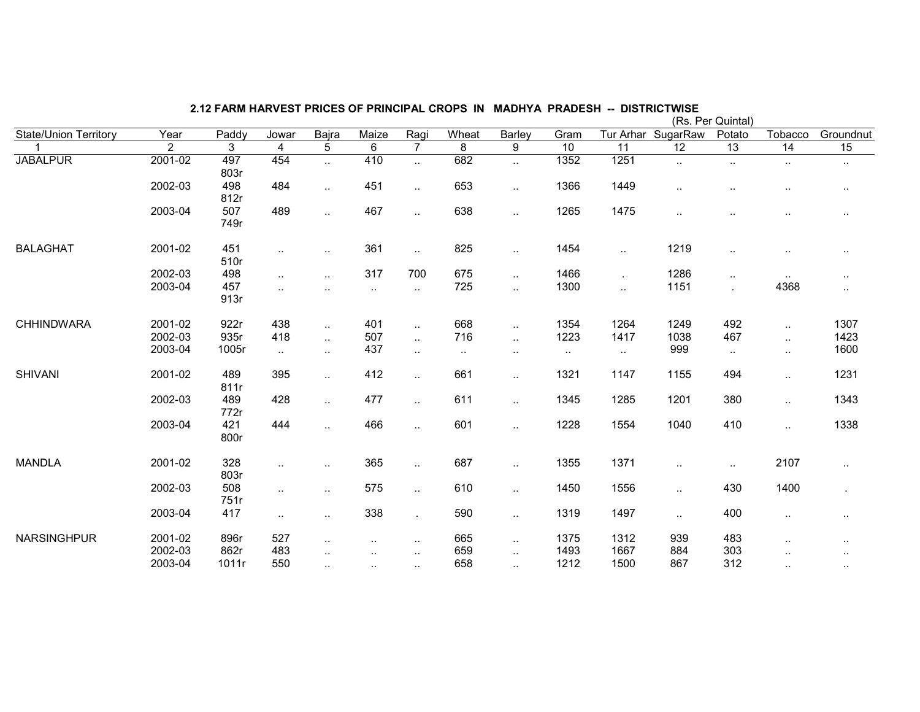|                       |             |             |              |                      |                      |                      |                |                        |        |                      |                    | (Rs. Per Quintal) |           |                |
|-----------------------|-------------|-------------|--------------|----------------------|----------------------|----------------------|----------------|------------------------|--------|----------------------|--------------------|-------------------|-----------|----------------|
| State/Union Territory | Year        | Paddy       | Jowar        | Bajra                | Maize                | Ragi                 | Wheat          | Barley                 | Gram   |                      | Tur Arhar SugarRaw | Potato            | Tobacco   | Groundnut      |
|                       | 2           | 3           | 4            | $\overline{5}$       | $\overline{6}$       | $\overline{7}$       | $\overline{8}$ | $\overline{9}$         | 10     | $\overline{11}$      | 12                 | 13                | 14        | 15             |
| <b>JABALPUR</b>       | $2001 - 02$ | 497<br>803r | 454          | $\ddotsc$            | 410                  | $\ddotsc$            | 682            | $\ddotsc$              | 1352   | 1251                 | $\cdot$ .          | $\ddotsc$         | $\ddotsc$ | ٠.             |
|                       | 2002-03     | 498<br>812r | 484          | $\ddotsc$            | 451                  | $\ddotsc$            | 653            | $\ddotsc$              | 1366   | 1449                 | $\cdot$ .          |                   |           | $\cdot$ .      |
|                       | 2003-04     | 507<br>749r | 489          | $\ddotsc$            | 467                  | $\ddot{\phantom{a}}$ | 638            | $\ddotsc$              | 1265   | 1475                 | $\cdot$ .          |                   |           |                |
| <b>BALAGHAT</b>       | 2001-02     | 451<br>510r | $\ddotsc$    | $\sim$               | 361                  | $\ddotsc$            | 825            | $\ddotsc$              | 1454   | $\sim$               | 1219               | $\sim$            |           | $\cdot$ .      |
|                       | 2002-03     | 498         | $\ddotsc$    | $\cdot$ .            | 317                  | 700                  | 675            | $\ddot{\phantom{1}}$   | 1466   | $\ddot{\phantom{0}}$ | 1286               | $\sim$            | $\sim$    | $\cdot$ .      |
|                       | 2003-04     | 457<br>913r | $\ddotsc$    |                      | $\ddot{\phantom{a}}$ | $\ddotsc$            | 725            | $\ddotsc$              | 1300   | $\ddotsc$            | 1151               | $\blacksquare$    | 4368      | $\sim$         |
| <b>CHHINDWARA</b>     | 2001-02     | 922r        | 438          | $\ddotsc$            | 401                  | $\mathbf{L}$         | 668            | $\ddotsc$              | 1354   | 1264                 | 1249               | 492               | $\ddotsc$ | 1307           |
|                       | 2002-03     | 935r        | 418          | $\ddot{\phantom{a}}$ | 507                  | $\mathbf{r}$ .       | 716            | $\ddotsc$              | 1223   | 1417                 | 1038               | 467               | $\ddotsc$ | 1423           |
|                       | 2003-04     | 1005r       | $\mathbf{L}$ | $\ddotsc$            | 437                  | $\ddotsc$            | $\cdot$ .      | $\sim$ $\sim$          | $\sim$ | $\sim$               | 999                | $\sim$            | $\ddotsc$ | 1600           |
| <b>SHIVANI</b>        | 2001-02     | 489<br>811r | 395          | $\ddotsc$            | 412                  | $\ddotsc$            | 661            | $\ddotsc$              | 1321   | 1147                 | 1155               | 494               | $\ddotsc$ | 1231           |
|                       | 2002-03     | 489<br>772r | 428          | $\ldots$             | 477                  | $\ddotsc$            | 611            | $\ddotsc$              | 1345   | 1285                 | 1201               | 380               | $\ldots$  | 1343           |
|                       | 2003-04     | 421<br>800r | 444          | $\ddotsc$            | 466                  | $\ddotsc$            | 601            | $\ddot{\phantom{1}}$   | 1228   | 1554                 | 1040               | 410               | $\ddotsc$ | 1338           |
| <b>MANDLA</b>         | 2001-02     | 328<br>803r | $\ddotsc$    |                      | 365                  | $\ddotsc$            | 687            | $\ddotsc$              | 1355   | 1371                 | . .                | $\sim$            | 2107      | $\sim$         |
|                       | 2002-03     | 508<br>751r | $\ddotsc$    | $\cdot$ .            | 575                  | $\ddotsc$            | 610            | $\ddot{\phantom{1}}$   | 1450   | 1556                 | $\cdot$ .          | 430               | 1400      | $\blacksquare$ |
|                       | 2003-04     | 417         | $\ddotsc$    | . .                  | 338                  |                      | 590            | $\ddot{\phantom{1}}$   | 1319   | 1497                 | $\cdot$ .          | 400               | $\sim$    | $\cdot$ .      |
| <b>NARSINGHPUR</b>    | 2001-02     | 896r        | 527          | $\cdot$ .            | $\ddotsc$            | $\sim$               | 665            | $\sim$                 | 1375   | 1312                 | 939                | 483               |           |                |
|                       | 2002-03     | 862r        | 483          | $\cdot$ .            | $\ddotsc$            | $\ddot{\phantom{a}}$ | 659            | $\ddot{\phantom{a}}$ . | 1493   | 1667                 | 884                | 303               | $\cdot$ . |                |
|                       | 2003-04     | 1011r       | 550          | $\cdot$ .            | $\sim$               | $\ddot{\phantom{1}}$ | 658            | $\ddot{\phantom{a}}$ . | 1212   | 1500                 | 867                | 312               | $\ddotsc$ | $\cdot$ .      |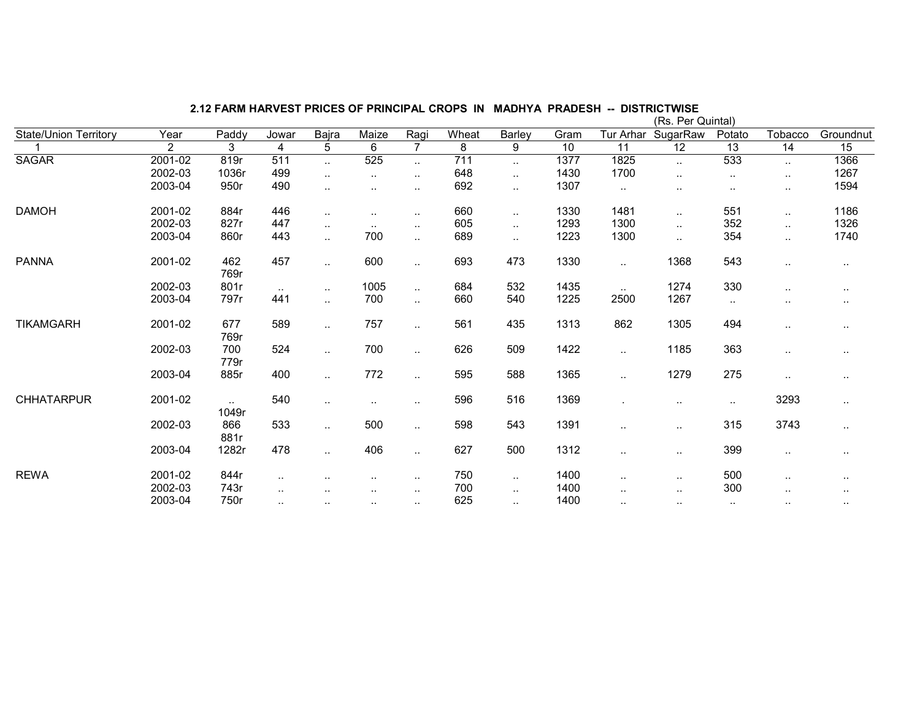|                              |         |                 |                |               |           |                      |       |           |      |               | (Rs. Per Quintal) |                 |               |               |
|------------------------------|---------|-----------------|----------------|---------------|-----------|----------------------|-------|-----------|------|---------------|-------------------|-----------------|---------------|---------------|
| <b>State/Union Territory</b> | Year    | Paddy           | Jowar          | Bajra         | Maize     | Ragi                 | Wheat | Barley    | Gram | Tur Arhar     | SugarRaw          | Potato          | Tobacco       | Groundnut     |
|                              | 2       | 3               | $\overline{4}$ | 5             | 6         | $\overline{7}$       | 8     | 9         | 10   | 11            | $\overline{12}$   | $\overline{13}$ | 14            | 15            |
| <b>SAGAR</b>                 | 2001-02 | 819r            | 511            | $\ddotsc$     | 525       | Ω.                   | 711   | $\ddotsc$ | 1377 | 1825          | $\ddotsc$         | 533             | $\ldots$      | 1366          |
|                              | 2002-03 | 1036r           | 499            | $\cdot$ .     | $\cdot$ . | $\sim$               | 648   | $\ddotsc$ | 1430 | 1700          | $\sim$ $\sim$     | $\sim$          | $\sim$        | 1267          |
|                              | 2003-04 | 950r            | 490            | $\ddotsc$     | $\ddotsc$ | ٠.                   | 692   | $\ddotsc$ | 1307 | $\sim$        | $\cdot$ .         | $\sim$          | $\sim$        | 1594          |
| <b>DAMOH</b>                 | 2001-02 | 884r            | 446            | $\ddotsc$     | $\ddotsc$ | $\ddot{\phantom{1}}$ | 660   | $\ddotsc$ | 1330 | 1481          |                   | 551             | $\sim$        | 1186          |
|                              | 2002-03 | 827r            | 447            | $\cdot$ .     | $\sim$    | $\sim$               | 605   | $\cdot$ . | 1293 | 1300          | $\sim$            | 352             | $\cdot$ .     | 1326          |
|                              | 2003-04 | 860r            | 443            | $\ddotsc$     | 700       | $\ddot{\phantom{a}}$ | 689   | $\ddotsc$ | 1223 | 1300          | $\ddotsc$         | 354             | $\ddotsc$     | 1740          |
| <b>PANNA</b>                 | 2001-02 | 462<br>769r     | 457            | $\ddotsc$     | 600       | $\ddotsc$            | 693   | 473       | 1330 | $\sim$        | 1368              | 543             | $\cdot$ .     | $\cdot$ .     |
|                              | 2002-03 | 801r            | $\sim$ $\sim$  | $\cdot$ .     | 1005      | $\sim$               | 684   | 532       | 1435 | $\sim$ $\sim$ | 1274              | 330             | $\sim$ $\sim$ | $\sim$        |
|                              | 2003-04 | 797r            | 441            | $\ddotsc$     | 700       | $\ddotsc$            | 660   | 540       | 1225 | 2500          | 1267              | $\sim$          | $\ddotsc$     | $\cdot$ .     |
| <b>TIKAMGARH</b>             | 2001-02 | 677<br>769r     | 589            | $\ddotsc$     | 757       | $\ddotsc$            | 561   | 435       | 1313 | 862           | 1305              | 494             | $\ddotsc$     | $\sim$ $\sim$ |
|                              | 2002-03 | 700<br>779r     | 524            | $\ddotsc$     | 700       | $\ddot{\phantom{1}}$ | 626   | 509       | 1422 | $\ddotsc$     | 1185              | 363             | $\ddotsc$     | $\sim$        |
|                              | 2003-04 | 885r            | 400            | $\ldots$      | 772       | $\ddotsc$            | 595   | 588       | 1365 | $\ddotsc$     | 1279              | 275             | $\ldots$      | $\cdot$ .     |
| <b>CHHATARPUR</b>            | 2001-02 | $\sim$<br>1049r | 540            | $\sim$ $\sim$ | $\ddotsc$ | $\sim$               | 596   | 516       | 1369 |               | $\sim$            | $\sim$          | 3293          | $\sim$        |
|                              | 2002-03 | 866<br>881r     | 533            | $\ddotsc$     | 500       | $\ddot{\phantom{1}}$ | 598   | 543       | 1391 | $\sim$        | $\sim$            | 315             | 3743          | $\ldots$      |
|                              | 2003-04 | 1282r           | 478            | $\sim$ $\sim$ | 406       | $\ddot{\phantom{1}}$ | 627   | 500       | 1312 | $\sim$        | $\sim$            | 399             | $\sim$        | $\cdots$      |
| <b>REWA</b>                  | 2001-02 | 844r            | $\sim$         |               | ٠.        | $\sim$               | 750   | $\sim$    | 1400 | $\sim$        | $\sim$            | 500             | $\sim$        | $\sim$        |
|                              | 2002-03 | 743r            | $\sim$         |               | $\sim$    | $\sim$               | 700   | $\cdot$ . | 1400 | $\sim$        | $\sim$            | 300             | $\sim$        | $\cdot$ .     |
|                              | 2003-04 | 750r            | $\ddotsc$      | $\ddotsc$     | $\sim$    | $\sim$               | 625   | $\ddotsc$ | 1400 | $\ddotsc$     |                   | $\sim$ $\sim$   | $\sim$ $\sim$ | $\cdot$ .     |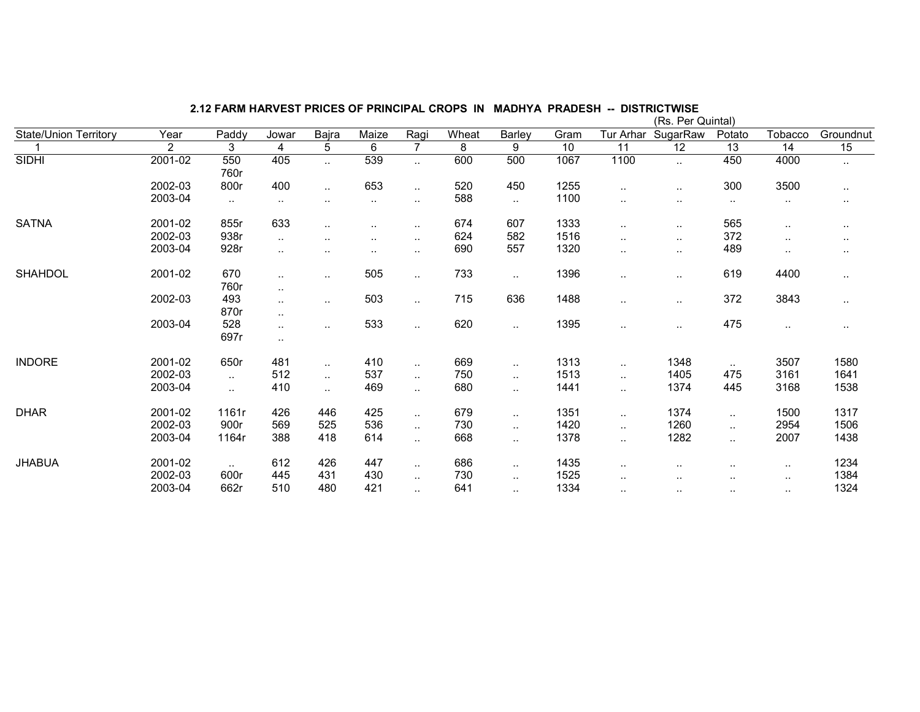|                              |                |                |           |                |                 |                        |       |                        |                 |                 | (Rs. Per Quintal) |                 |                 |               |
|------------------------------|----------------|----------------|-----------|----------------|-----------------|------------------------|-------|------------------------|-----------------|-----------------|-------------------|-----------------|-----------------|---------------|
| <b>State/Union Territory</b> | Year           | Paddy          | Jowar     | Bajra          | Maize           | Ragi                   | Wheat | Barley                 | Gram            | Tur Arhar       | SugarRaw          | Potato          | Tobacco         | Groundnut     |
|                              | $\overline{2}$ | $\overline{3}$ | 4         | $\overline{5}$ | $6\overline{6}$ | $\overline{7}$         | 8     | 9                      | $\overline{10}$ | $\overline{11}$ | $\overline{12}$   | $\overline{13}$ | $\overline{14}$ | 15            |
| <b>SIDHI</b>                 | 2001-02        | 550            | 405       | $\ddotsc$      | 539             | $\ddotsc$              | 600   | 500                    | 1067            | 1100            |                   | 450             | 4000            | $\ddotsc$     |
|                              |                | 760r           |           |                |                 |                        |       |                        |                 |                 |                   |                 |                 |               |
|                              | 2002-03        | 800r           | 400       | $\ddotsc$      | 653             | $\sim$                 | 520   | 450                    | 1255            | $\sim$          |                   | 300             | 3500            | $\sim$        |
|                              | 2003-04        | $\ddotsc$      | $\ddotsc$ | . .            | $\ddotsc$       | $\ddotsc$              | 588   | $\ldots$               | 1100            |                 | $\cdot$ .         | $\sim$          | $\sim$          | $\sim$        |
| <b>SATNA</b>                 | 2001-02        | 855r           | 633       |                |                 | $\cdot$ .              | 674   | 607                    | 1333            | $\ddotsc$       |                   | 565             | $\ddotsc$       | $\sim$ $\sim$ |
|                              | 2002-03        | 938r           | $\ddotsc$ |                | $\ddotsc$       | $\sim$                 | 624   | 582                    | 1516            | $\ddotsc$       | $\sim$ $\sim$     | 372             | $\sim$          | $\sim$        |
|                              | 2003-04        | 928r           | $\ddotsc$ |                | $\sim$          | $\sim$                 | 690   | 557                    | 1320            | $\ddotsc$       | $\sim$            | 489             | $\sim$          | $\sim$        |
| <b>SHAHDOL</b>               | 2001-02        | 670            | $\sim$    | $\sim$         | 505             | $\ddot{\phantom{a}}$ . | 733   | $\sim$                 | 1396            | $\sim$          | $\sim$ $\sim$     | 619             | 4400            | $\ldots$      |
|                              |                | 760r           | $\sim$    |                |                 |                        |       |                        |                 |                 |                   |                 |                 |               |
|                              | 2002-03        | 493            | $\ddotsc$ | $\ddotsc$      | 503             | $\ddotsc$              | 715   | 636                    | 1488            | $\ddotsc$       |                   | 372             | 3843            | $\ldots$      |
|                              |                | 870r           | $\ddotsc$ |                |                 |                        |       |                        |                 |                 |                   |                 |                 |               |
|                              | 2003-04        | 528            |           |                | 533             | $\ddotsc$              | 620   | $\sim$                 | 1395            | $\ddotsc$       |                   | 475             | $\cdot$ .       | $\cdot$ .     |
|                              |                | 697r           | $\ldots$  |                |                 |                        |       |                        |                 |                 |                   |                 |                 |               |
| <b>INDORE</b>                | 2001-02        | 650r           | 481       | $\sim$         | 410             | $\sim$                 | 669   | $\ddot{\phantom{a}}$ . | 1313            | $\sim$          | 1348              | $\sim$          | 3507            | 1580          |
|                              | 2002-03        | $\ddotsc$      | 512       | $\ldots$       | 537             | $\ddot{\phantom{a}}$ . | 750   | $\ddotsc$              | 1513            | $\sim$          | 1405              | 475             | 3161            | 1641          |
|                              | 2003-04        | $\ddotsc$      | 410       | $\ddotsc$      | 469             | $\ddot{\phantom{a}}$ . | 680   | $\ddot{\phantom{1}}$   | 1441            | ٠.              | 1374              | 445             | 3168            | 1538          |
| <b>DHAR</b>                  | 2001-02        | 1161r          | 426       | 446            | 425             | $\ddotsc$              | 679   | $\ddot{\phantom{a}}$ . | 1351            | $\ddotsc$       | 1374              | $\ldots$        | 1500            | 1317          |
|                              | 2002-03        | 900r           | 569       | 525            | 536             | $\ddotsc$              | 730   | $\ddot{\phantom{a}}$   | 1420            | $\ddotsc$       | 1260              | $\ldots$        | 2954            | 1506          |
|                              | 2003-04        | 1164r          | 388       | 418            | 614             | $\ddotsc$              | 668   | $\sim$                 | 1378            | $\ddotsc$       | 1282              | $\ldots$        | 2007            | 1438          |
| <b>JHABUA</b>                | 2001-02        | $\sim$         | 612       | 426            | 447             | $\ddot{\phantom{a}}$   | 686   | $\ddotsc$              | 1435            | $\sim$          | $\sim$            | $\sim$          | $\sim$ $\sim$   | 1234          |
|                              | 2002-03        | 600r           | 445       | 431            | 430             | $\ddotsc$              | 730   | $\ddotsc$              | 1525            | . .             |                   |                 | $\sim$ $\sim$   | 1384          |
|                              | 2003-04        | 662r           | 510       | 480            | 421             | $\cdot$ .              | 641   | $\sim$                 | 1334            |                 |                   | $\sim$          | $\cdot$ .       | 1324          |
|                              |                |                |           |                |                 |                        |       |                        |                 |                 | $\sim$            |                 |                 |               |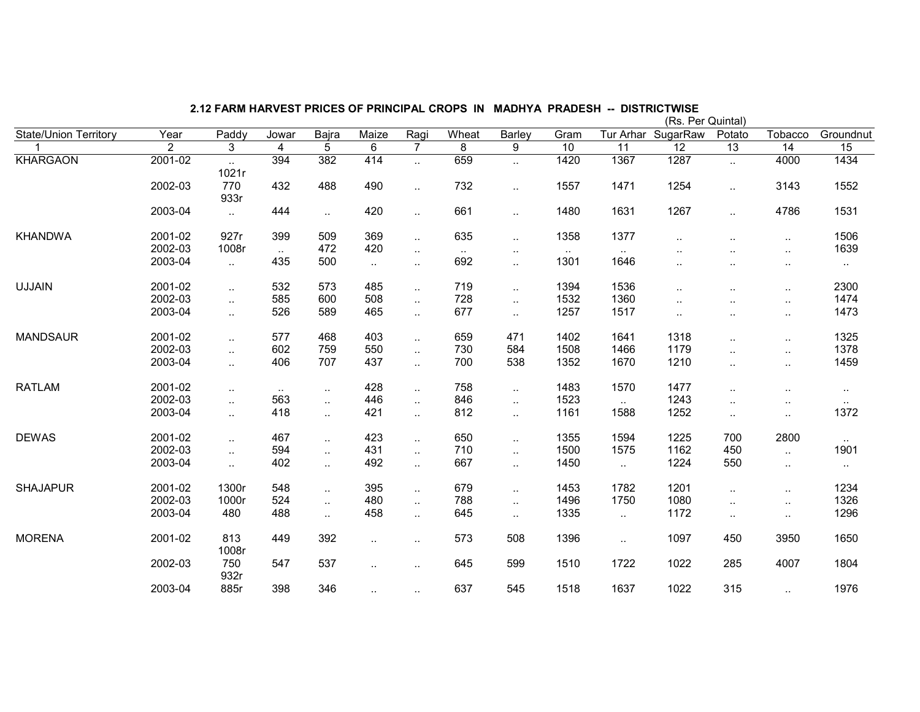|                              |                    |               |               |            |                      |                             |        |                      |                 |                 | (Rs. Per Quintal) |                      |                      |              |
|------------------------------|--------------------|---------------|---------------|------------|----------------------|-----------------------------|--------|----------------------|-----------------|-----------------|-------------------|----------------------|----------------------|--------------|
| <b>State/Union Territory</b> | Year               | Paddy         | Jowar         | Bajra      | Maize                | Ragi                        | Wheat  | Barley               | Gram            | Tur Arhar       | SugarRaw          | Potato               | Tobacco              | Groundnut    |
|                              | 2                  | 3             | 4             | 5          | 6                    | $\overline{7}$              | 8      | 9                    | $\overline{10}$ | $\overline{11}$ | $\overline{12}$   | $\overline{13}$      | $\overline{14}$      | 15           |
| <b>KHARGAON</b>              | $2001 - 02$        | a.<br>1021r   | 394           | 382        | 414                  | $\ddot{\phantom{a}}$        | 659    | $\ddotsc$            | 1420            | 1367            | 1287              | $\ddotsc$            | 4000                 | 1434         |
|                              | 2002-03            | 770<br>933r   | 432           | 488        | 490                  | $\ddotsc$                   | 732    | $\ddotsc$            | 1557            | 1471            | 1254              | $\sim$               | 3143                 | 1552         |
|                              | 2003-04            | $\ddotsc$     | 444           | $\ddotsc$  | 420                  | $\ddot{\phantom{a}}$ .      | 661    | $\ddotsc$            | 1480            | 1631            | 1267              | $\ddotsc$            | 4786                 | 1531         |
| <b>KHANDWA</b>               | 2001-02<br>2002-03 | 927r<br>1008r | 399           | 509<br>472 | 369<br>420           | $\ddotsc$                   | 635    | $\ddot{\phantom{1}}$ | 1358            | 1377            | $\cdot$ .         | $\ddot{\phantom{a}}$ | $\ddotsc$            | 1506<br>1639 |
|                              |                    |               | $\sim$        |            |                      | $\ddotsc$                   | $\sim$ | $\ddotsc$            | $\sim$          | $\sim$ $\sim$   | $\cdot$ .         | $\ddotsc$            | $\sim$ .             |              |
|                              | 2003-04            | $\ddotsc$     | 435           | 500        | $\sim$               | $\ddotsc$                   | 692    | $\ddotsc$            | 1301            | 1646            | . .               |                      | $\cdot$ .            | $\sim$       |
| <b>UJJAIN</b>                | 2001-02            | $\ddotsc$     | 532           | 573        | 485                  | $\ddotsc$                   | 719    | $\ddotsc$            | 1394            | 1536            | . .               | $\cdot$ .            | $\sim$ $\sim$        | 2300         |
|                              | 2002-03            | $\ddotsc$     | 585           | 600        | 508                  | $\ddotsc$                   | 728    | $\ddotsc$            | 1532            | 1360            |                   |                      | $\ddotsc$            | 1474         |
|                              | 2003-04            | $\ddotsc$     | 526           | 589        | 465                  | $\ddotsc$                   | 677    | $\ddotsc$            | 1257            | 1517            |                   |                      | $\sim$               | 1473         |
| <b>MANDSAUR</b>              | 2001-02            |               | 577           | 468        | 403                  | $\ddotsc$                   | 659    | 471                  | 1402            | 1641            | 1318              | $\sim$               | $\cdot$ .            | 1325         |
|                              | 2002-03            | $\ddotsc$     | 602           | 759        | 550                  | $\mathcal{L}_{\mathcal{A}}$ | 730    | 584                  | 1508            | 1466            | 1179              | $\ddot{\phantom{a}}$ | $\ddotsc$            | 1378         |
|                              | 2003-04            | $\ddotsc$     | 406           | 707        | 437                  | $\ddotsc$                   | 700    | 538                  | 1352            | 1670            | 1210              | $\ddotsc$            | $\ldots$             | 1459         |
| <b>RATLAM</b>                | 2001-02            |               | $\sim$ $\sim$ | $\ddotsc$  | 428                  | $\ddotsc$                   | 758    | $\ddotsc$            | 1483            | 1570            | 1477              | $\ddot{\phantom{a}}$ |                      | $\cdot$ .    |
|                              | 2002-03            | $\ddotsc$     | 563           | $\ddotsc$  | 446                  | $\ddotsc$                   | 846    | $\ddotsc$            | 1523            | $\ddotsc$       | 1243              | $\cdot$ .            | $\cdot$ .            | $\sim$       |
|                              | 2003-04            | $\ddotsc$     | 418           | $\ddotsc$  | 421                  | $\ddot{\phantom{a}}$        | 812    | $\ddot{\phantom{1}}$ | 1161            | 1588            | 1252              | $\sim$               | $\sim$               | 1372         |
| <b>DEWAS</b>                 | 2001-02            | $\ddotsc$     | 467           | $\ddotsc$  | 423                  | $\ddotsc$                   | 650    | $\ddotsc$            | 1355            | 1594            | 1225              | 700                  | 2800                 | $\sim$       |
|                              | 2002-03            | $\ddotsc$     | 594           | $\ddotsc$  | 431                  | $\ddotsc$                   | 710    | $\ddotsc$            | 1500            | 1575            | 1162              | 450                  | $\ddotsc$            | 1901         |
|                              | 2003-04            | $\ddotsc$     | 402           | $\ddotsc$  | 492                  | $\ddotsc$                   | 667    | $\ddotsc$            | 1450            | $\ddotsc$       | 1224              | 550                  | $\cdot$ .            | $\sim$       |
| <b>SHAJAPUR</b>              | 2001-02            | 1300r         | 548           | $\ldots$   | 395                  | $\ddotsc$                   | 679    | $\ddotsc$            | 1453            | 1782            | 1201              | $\ldots$             | $\cdot$ .            | 1234         |
|                              | 2002-03            | 1000r         | 524           | $\ldots$   | 480                  | $\ddotsc$                   | 788    | $\ddotsc$            | 1496            | 1750            | 1080              | $\cdot$ .            | $\cdot$ .            | 1326         |
|                              | 2003-04            | 480           | 488           | $\ldots$   | 458                  | $\ddotsc$                   | 645    | $\ddotsc$            | 1335            | $\sim$          | 1172              | $\sim$               | $\cdot$ .            | 1296         |
| <b>MORENA</b>                | 2001-02            | 813<br>1008r  | 449           | 392        | $\sim$               | $\cdot$ .                   | 573    | 508                  | 1396            | $\sim$ $\sim$   | 1097              | 450                  | 3950                 | 1650         |
|                              | 2002-03            | 750<br>932r   | 547           | 537        | $\ddot{\phantom{a}}$ | $\ddot{\phantom{a}}$        | 645    | 599                  | 1510            | 1722            | 1022              | 285                  | 4007                 | 1804         |
|                              | 2003-04            | 885r          | 398           | 346        | $\ddot{\phantom{a}}$ |                             | 637    | 545                  | 1518            | 1637            | 1022              | 315                  | $\ddot{\phantom{a}}$ | 1976         |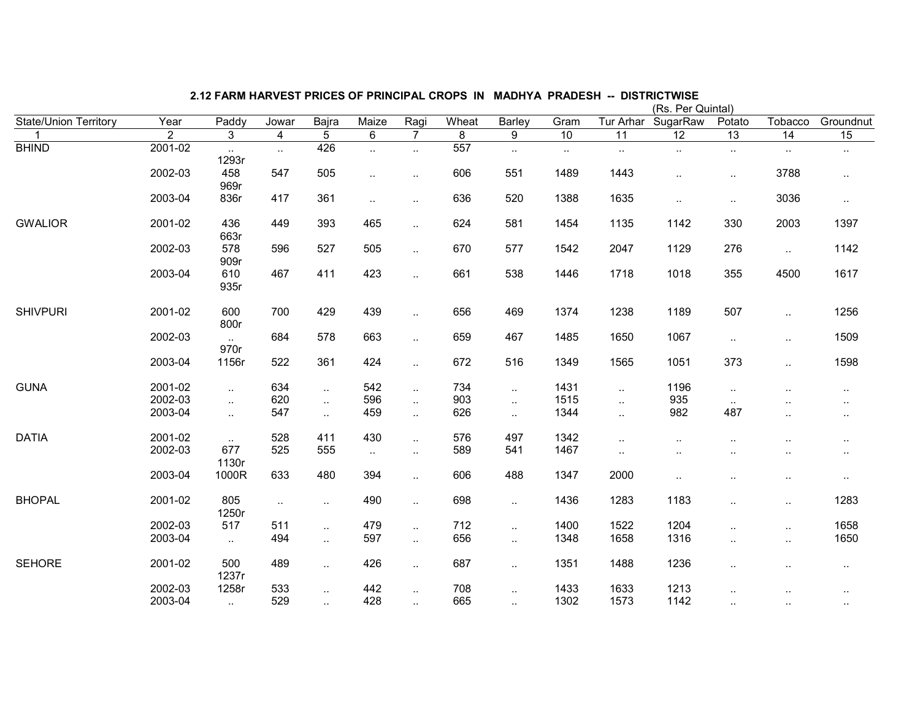|                              |                |                          |                |                             |           |                      |       |           |                 |                 | (Rs. Per Quintal)    |                      |                      |           |
|------------------------------|----------------|--------------------------|----------------|-----------------------------|-----------|----------------------|-------|-----------|-----------------|-----------------|----------------------|----------------------|----------------------|-----------|
| <b>State/Union Territory</b> | Year           | Paddy                    | Jowar          | Bajra                       | Maize     | Ragi                 | Wheat | Barley    | Gram            | Tur Arhar       | SugarRaw             | Potato               | Tobacco              | Groundnut |
| 1                            | $\overline{2}$ | 3                        | $\overline{4}$ | 5                           | 6         | $\overline{7}$       | 8     | 9         | $\overline{10}$ | $\overline{11}$ | $\overline{12}$      | $\overline{13}$      | 14                   | 15        |
| <b>BHIND</b>                 | 2001-02        | $\sim$<br>1293r          | $\ddotsc$      | 426                         |           | $\sim$               | 557   | $\ldots$  | $\sim$          | $\sim$          | $\sim$               | $\sim$               | $\cdot$ .            | $\cdot$ . |
|                              | 2002-03        | 458<br>969r              | 547            | 505                         | $\ddotsc$ | $\sim$               | 606   | 551       | 1489            | 1443            |                      | $\sim$               | 3788                 | $\sim$    |
|                              | 2003-04        | 836r                     | 417            | 361                         | $\ddotsc$ | $\ldots$             | 636   | 520       | 1388            | 1635            | $\ldots$             | $\sim$               | 3036                 | $\ldots$  |
| <b>GWALIOR</b>               | 2001-02        | 436<br>663r              | 449            | 393                         | 465       | $\ddotsc$            | 624   | 581       | 1454            | 1135            | 1142                 | 330                  | 2003                 | 1397      |
|                              | 2002-03        | 578<br>909r              | 596            | 527                         | 505       | $\sim$               | 670   | 577       | 1542            | 2047            | 1129                 | 276                  | $\ddotsc$            | 1142      |
|                              | 2003-04        | 610<br>935r              | 467            | 411                         | 423       | $\ddotsc$            | 661   | 538       | 1446            | 1718            | 1018                 | 355                  | 4500                 | 1617      |
| <b>SHIVPURI</b>              | 2001-02        | 600<br>800r              | 700            | 429                         | 439       | $\ldots$             | 656   | 469       | 1374            | 1238            | 1189                 | 507                  |                      | 1256      |
|                              | 2002-03        | $\ddotsc$<br>970r        | 684            | 578                         | 663       | $\ddotsc$            | 659   | 467       | 1485            | 1650            | 1067                 | $\ddotsc$            | $\ddotsc$            | 1509      |
|                              | 2003-04        | 1156r                    | 522            | 361                         | 424       | $\ddot{\phantom{a}}$ | 672   | 516       | 1349            | 1565            | 1051                 | 373                  | $\ddotsc$            | 1598      |
| <b>GUNA</b>                  | 2001-02        | $\ddotsc$                | 634            | $\ddotsc$                   | 542       | $\ddotsc$            | 734   | $\ddotsc$ | 1431            | $\ddotsc$       | 1196                 | $\ldots$             |                      | $\sim$    |
|                              | 2002-03        | $\ddotsc$                | 620            | $\mathbf{L}$                | 596       | $\sim$               | 903   | $\ddotsc$ | 1515            | $\ddotsc$       | 935                  | $\sim$               |                      | $\sim$    |
|                              | 2003-04        | $\ddotsc$                | 547            | $\sim$                      | 459       | $\ddotsc$            | 626   | $\ddotsc$ | 1344            | $\ddotsc$       | 982                  | 487                  | $\ddot{\phantom{a}}$ | $\ddotsc$ |
| <b>DATIA</b>                 | 2001-02        | $\sim$                   | 528            | 411                         | 430       | $\ddotsc$            | 576   | 497       | 1342            | $\ddotsc$       |                      |                      |                      | ٠.        |
|                              | 2002-03        | 677<br>1130r             | 525            | 555                         | $\sim$    | $\cdot$ .            | 589   | 541       | 1467            | $\ddotsc$       |                      |                      |                      | $\cdot$ . |
|                              | 2003-04        | 1000R                    | 633            | 480                         | 394       | $\ddotsc$            | 606   | 488       | 1347            | 2000            | $\ddot{\phantom{a}}$ |                      | $\ddot{\phantom{a}}$ | $\ddotsc$ |
| <b>BHOPAL</b>                | 2001-02        | 805<br>1250r             | $\ddotsc$      | $\sim$                      | 490       | $\ddotsc$            | 698   | $\ddotsc$ | 1436            | 1283            | 1183                 | $\ddot{\phantom{a}}$ | $\ldots$             | 1283      |
|                              | 2002-03        | 517                      | 511            | $\mathcal{L}_{\mathcal{A}}$ | 479       | $\ddotsc$            | 712   | $\ddotsc$ | 1400            | 1522            | 1204                 |                      | $\ddotsc$            | 1658      |
|                              | 2003-04        | $\sim$                   | 494            | $\sim$                      | 597       | $\ldots$             | 656   | $\ddotsc$ | 1348            | 1658            | 1316                 | ٠.                   | $\sim$               | 1650      |
| <b>SEHORE</b>                | 2001-02        | 500<br>1237r             | 489            | $\sim$                      | 426       | $\cdot$ .            | 687   | $\ldots$  | 1351            | 1488            | 1236                 | $\ddot{\phantom{a}}$ |                      | $\sim$    |
|                              | 2002-03        | 1258r                    | 533            | $\ddotsc$                   | 442       | $\ldots$             | 708   | $\ldots$  | 1433            | 1633            | 1213                 | $\sim$               | $\sim$               | $\cdot$ . |
|                              | 2003-04        | $\overline{\phantom{a}}$ | 529            |                             | 428       |                      | 665   |           | 1302            | 1573            | 1142                 |                      |                      |           |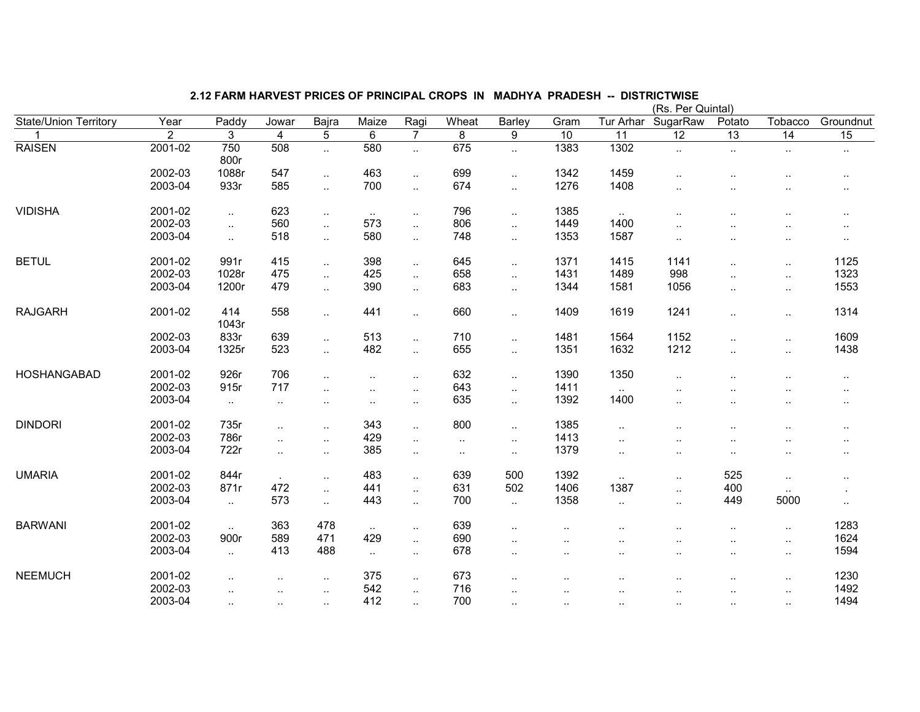|                       |                |                      |                      |                             |                      |                      |           |           |                      |                      | (Rs. Per Quintal)    |                      |                      |                 |
|-----------------------|----------------|----------------------|----------------------|-----------------------------|----------------------|----------------------|-----------|-----------|----------------------|----------------------|----------------------|----------------------|----------------------|-----------------|
| State/Union Territory | Year           | Paddy                | Jowar                | Bajra                       | Maize                | Ragi                 | Wheat     | Barley    | Gram                 | Tur Arhar            | SugarRaw             | Potato               | Tobacco              | Groundnut       |
| 1                     | $\overline{2}$ | 3                    | $\overline{4}$       | $\overline{5}$              | $\,6\,$              | $\overline{7}$       | 8         | 9         | $\overline{10}$      | 11                   | $\overline{12}$      | $\overline{13}$      | $\overline{14}$      | $\overline{15}$ |
| <b>RAISEN</b>         | 2001-02        | 750<br>800r          | 508                  | $\ddot{\phantom{a}}$        | 580                  | $\ddot{\phantom{a}}$ | 675       | $\ddotsc$ | 1383                 | 1302                 |                      |                      | $\ddotsc$            | $\ddotsc$       |
|                       | 2002-03        | 1088r                | 547                  | $\ddotsc$                   | 463                  | $\ddotsc$            | 699       | $\ddotsc$ | 1342                 | 1459                 | $\ddot{\phantom{a}}$ |                      |                      |                 |
|                       | 2003-04        | 933r                 | 585                  | $\mathcal{L}_{\mathcal{A}}$ | 700                  | $\ddotsc$            | 674       | $\ddotsc$ | 1276                 | 1408                 |                      |                      |                      |                 |
| <b>VIDISHA</b>        | 2001-02        | $\ddotsc$            | 623                  | $\sim$ .                    | $\ldots$             | $\cdot$ .            | 796       | $\ddotsc$ | 1385                 | $\sim$               |                      |                      |                      |                 |
|                       | 2002-03        | $\ddotsc$            | 560                  | $\mathcal{L}_{\mathcal{A}}$ | 573                  | $\ddotsc$            | 806       | $\ddotsc$ | 1449                 | 1400                 |                      |                      | $\cdot$ .            |                 |
|                       | 2003-04        | $\ddotsc$            | 518                  | $\sim$                      | 580                  | $\ddotsc$            | 748       | $\ddotsc$ | 1353                 | 1587                 |                      | ٠.                   | $\cdot$ .            | $\cdot$ .       |
| <b>BETUL</b>          | 2001-02        | 991r                 | 415                  | $\mathcal{L}_{\mathcal{A}}$ | 398                  | $\ddotsc$            | 645       | $\ddotsc$ | 1371                 | 1415                 | 1141                 | $\ddot{\phantom{a}}$ | $\ldots$             | 1125            |
|                       | 2002-03        | 1028r                | 475                  | $\ddotsc$                   | 425                  | $\ddotsc$            | 658       | $\ddotsc$ | 1431                 | 1489                 | 998                  | $\ddot{\phantom{a}}$ | $\ddotsc$            | 1323            |
|                       | 2003-04        | 1200r                | 479                  | $\ddotsc$                   | 390                  | $\ddotsc$            | 683       | $\ddotsc$ | 1344                 | 1581                 | 1056                 | $\cdot$ .            | $\sim$               | 1553            |
| <b>RAJGARH</b>        | 2001-02        | 414<br>1043r         | 558                  | $\ddotsc$                   | 441                  | $\ddotsc$            | 660       | $\cdot$ . | 1409                 | 1619                 | 1241                 | $\cdot$ .            | $\sim$               | 1314            |
|                       | 2002-03        | 833r                 | 639                  | $\sim$                      | 513                  | $\ldots$             | 710       | $\ddotsc$ | 1481                 | 1564                 | 1152                 | $\cdot$ .            | $\sim$               | 1609            |
|                       | 2003-04        | 1325r                | 523                  | $\ddotsc$                   | 482                  | $\ddot{\phantom{a}}$ | 655       | $\ddotsc$ | 1351                 | 1632                 | 1212                 | $\ddot{\phantom{a}}$ | $\ddotsc$            | 1438            |
| HOSHANGABAD           | 2001-02        | 926r                 | 706                  | $\ddotsc$                   | $\cdot$ .            | ٠.                   | 632       | $\cdot$ . | 1390                 | 1350                 |                      |                      |                      | $\cdot$ .       |
|                       | 2002-03        | 915r                 | 717                  | $\ddotsc$                   | $\ddot{\phantom{a}}$ | $\sim$               | 643       | $\ddotsc$ | 1411                 | $\sim$               |                      |                      |                      |                 |
|                       | 2003-04        | $\sim$               | $\cdot$ .            | $\ddotsc$                   | $\ddot{\phantom{a}}$ | $\sim$               | 635       | $\cdot$ . | 1392                 | 1400                 |                      |                      |                      | $\cdot$ .       |
| <b>DINDORI</b>        | 2001-02        | 735r                 | $\ddot{\phantom{a}}$ | $\ddotsc$                   | 343                  | $\ddotsc$            | 800       | $\ddotsc$ | 1385                 |                      |                      | ٠.                   | $\cdot$ .            |                 |
|                       | 2002-03        | 786r                 | $\ddotsc$            | $\ddotsc$                   | 429                  | $\cdot$ .            | $\ddotsc$ | $\cdot$ . | 1413                 | $\ddot{\phantom{a}}$ |                      | ٠.                   | $\ddotsc$            |                 |
|                       | 2003-04        | 722r                 | $\ddotsc$            | $\ddot{\phantom{1}}$        | 385                  | $\cdot$ .            | $\sim$    | $\ddotsc$ | 1379                 | $\ddot{\phantom{a}}$ | ٠.                   | ٠.                   | $\cdot$ .            |                 |
| <b>UMARIA</b>         | 2001-02        | 844r                 |                      | $\ddot{\phantom{1}}$        | 483                  | $\ddotsc$            | 639       | 500       | 1392                 | $\sim$               | $\ddot{\phantom{a}}$ | 525                  | $\ldots$             | $\cdot$ .       |
|                       | 2002-03        | 871r                 | 472                  | $\sim$ .                    | 441                  | $\ddotsc$            | 631       | 502       | 1406                 | 1387                 | $\ddotsc$            | 400                  | $\ddot{\phantom{a}}$ |                 |
|                       | 2003-04        | $\sim$               | 573                  | $\sim$                      | 443                  | $\cdot$ .            | 700       | $\ddotsc$ | 1358                 | $\ddotsc$            |                      | 449                  | 5000                 | $\ddotsc$       |
| <b>BARWANI</b>        | 2001-02        | $\ldots$             | 363                  | 478                         | $\sim$               | $\sim$               | 639       | $\ddotsc$ |                      |                      |                      |                      | $\cdot$ .            | 1283            |
|                       | 2002-03        | 900r                 | 589                  | 471                         | 429                  | $\ddotsc$            | 690       | $\ddotsc$ | $\ddot{\phantom{a}}$ |                      | $\ddot{\phantom{a}}$ | $\ddotsc$            | $\ddotsc$            | 1624            |
|                       | 2003-04        | $\ddotsc$            | 413                  | 488                         | $\ddotsc$            | $\cdot$ .            | 678       | $\ddotsc$ | $\cdot$ .            |                      |                      | $\cdot$ .            | $\sim$               | 1594            |
| <b>NEEMUCH</b>        | 2001-02        |                      | $\cdot$ .            | $\ddotsc$                   | 375                  | $\sim$               | 673       | $\sim$    |                      | $\ddotsc$            |                      | $\cdot$ .            | $\cdot$ .            | 1230            |
|                       | 2002-03        |                      |                      | $\ddot{\phantom{1}}$        | 542                  | $\ddotsc$            | 716       | $\ddotsc$ |                      |                      |                      |                      | $\cdot$ .            | 1492            |
|                       | 2003-04        | $\ddot{\phantom{a}}$ | $\cdot$              | $\sim$                      | 412                  | $\ddotsc$            | 700       | $\ddotsc$ | $\ddot{\phantom{a}}$ | $\ddot{\phantom{a}}$ | $\ddot{\phantom{a}}$ |                      | $\ddotsc$            | 1494            |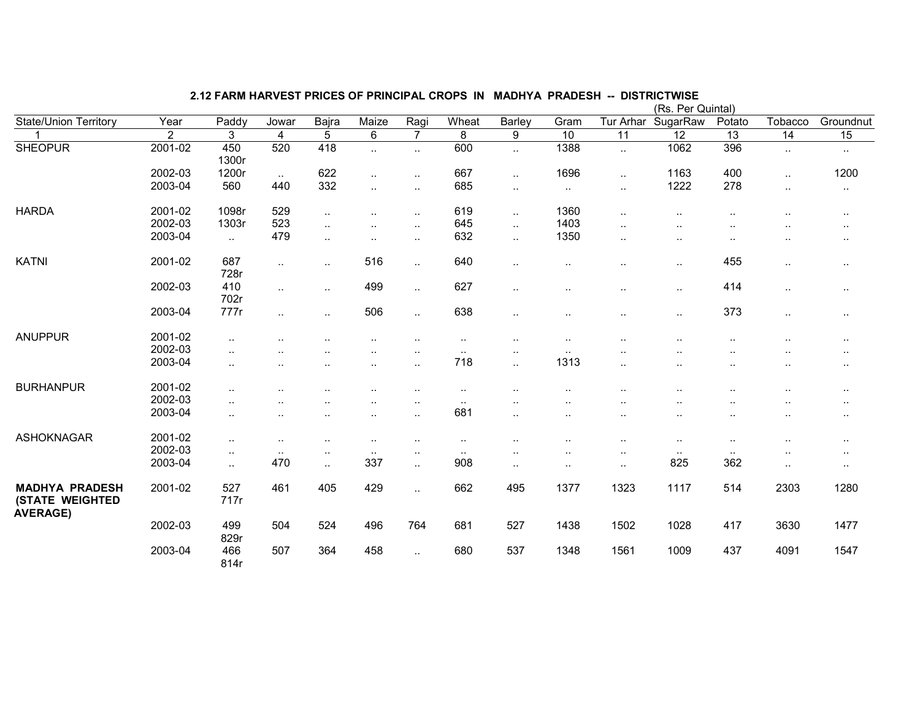|                                                                    |                |              |                      |                |                        |                        |           |                      |               |                 | (Rs. Per Quintal) |                      |                      |           |
|--------------------------------------------------------------------|----------------|--------------|----------------------|----------------|------------------------|------------------------|-----------|----------------------|---------------|-----------------|-------------------|----------------------|----------------------|-----------|
| <b>State/Union Territory</b>                                       | Year           | Paddy        | Jowar                | Bajra          | Maize                  | Ragi                   | Wheat     | Barley               | Gram          | Tur Arhar       | SugarRaw          | Potato               | Tobacco              | Groundnut |
|                                                                    | $\overline{2}$ | 3            | $\overline{4}$       | $\overline{5}$ | 6                      | $\overline{7}$         | 8         | 9                    | 10            | $\overline{11}$ | 12                | $\overline{13}$      | $\overline{14}$      | 15        |
| <b>SHEOPUR</b>                                                     | 2001-02        | 450<br>1300r | 520                  | 418            | $\ddotsc$              | $\ldots$               | 600       | $\ddotsc$            | 1388          | $\sim$          | 1062              | 396                  | $\sim$               | $\cdot$ . |
|                                                                    | 2002-03        | 1200r        | $\sim$ $\sim$        | 622            | $\ddotsc$              | $\ddot{\phantom{a}}$ . | 667       | $\ddotsc$            | 1696          | $\ddotsc$       | 1163              | 400                  | $\ddotsc$            | 1200      |
|                                                                    | 2003-04        | 560          | 440                  | 332            | $\ddot{\phantom{a}}$ . | $\ddot{\phantom{1}}$   | 685       | $\sim$               | $\sim$        | $\ddotsc$       | 1222              | 278                  | $\ddotsc$            | $\sim$    |
| <b>HARDA</b>                                                       | 2001-02        | 1098r        | 529                  | $\ddotsc$      | $\ddot{\phantom{a}}$   | $\ddotsc$              | 619       | $\sim$               | 1360          | $\ddotsc$       | $\cdot$ .         | ٠.                   |                      |           |
|                                                                    | 2002-03        | 1303r        | 523                  | $\ldots$       | $\ddot{\phantom{a}}$   | $\cdot$ .              | 645       | $\ddotsc$            | 1403          |                 |                   |                      |                      | $\cdot$ . |
|                                                                    | 2003-04        | $\ddotsc$    | 479                  | $\ldots$       | $\ddotsc$              | $\ddot{\phantom{a}}$ . | 632       | $\cdot$ .            | 1350          | $\ddotsc$       | $\ddotsc$         | $\cdot$ .            |                      | $\cdot$ . |
| <b>KATNI</b>                                                       | 2001-02        | 687<br>728r  | $\ddotsc$            | $\ddotsc$      | 516                    | $\ddotsc$              | 640       | $\ddotsc$            | $\ldots$      | $\ddotsc$       | $\cdot$ .         | 455                  | $\cdot$ .            | $\cdot$ . |
|                                                                    | 2002-03        | 410<br>702r  | $\ddot{\phantom{1}}$ | . .            | 499                    | $\ldots$               | 627       | $\sim$               |               |                 | $\sim$            | 414                  | $\sim$               | $\cdot$ . |
|                                                                    | 2003-04        | 777r         | $\ddotsc$            | $\cdot$ .      | 506                    | $\ddotsc$              | 638       | $\sim$               |               |                 | $\ddotsc$         | 373                  | $\sim$               | $\cdot$ . |
| <b>ANUPPUR</b>                                                     | 2001-02        | $\cdot$ .    |                      |                | $\cdot$ .              | $\cdot$ .              | $\cdot$ . |                      | ٠.            |                 |                   | $\ddotsc$            |                      | $\cdot$ . |
|                                                                    | 2002-03        | $\cdot$ .    | ٠.                   |                | $\sim$                 | $\sim$                 | $\sim$    | $\cdot$ .            | $\sim$ $\sim$ |                 |                   | ٠.                   | $\ddotsc$            | $\cdot$ . |
|                                                                    | 2003-04        | $\cdot$ .    |                      | $\cdot$ .      | $\ddot{\phantom{a}}$   | $\ddotsc$              | 718       | $\cdot$ .            | 1313          | $\ddotsc$       | $\cdot$ .         | $\ddotsc$            | $\ddotsc$            | $\cdot$ . |
| <b>BURHANPUR</b>                                                   | 2001-02        |              | $\ddot{\phantom{a}}$ | $\cdot$ .      | $\ddot{\phantom{a}}$   | $\ddot{\phantom{a}}$ . | $\ldots$  |                      |               |                 |                   | $\ddot{\phantom{a}}$ |                      |           |
|                                                                    | 2002-03        | $\ddotsc$    |                      |                | $\ddot{\phantom{a}}$   | $\ddotsc$              | $\sim$    |                      | $\cdot$ .     |                 |                   | $\ddot{\phantom{a}}$ | $\ddot{\phantom{a}}$ | $\cdot$ . |
|                                                                    | 2003-04        | $\cdot$ .    | $\ddot{\phantom{a}}$ | $\cdot$ .      | $\ddot{\phantom{a}}$   | $\ddotsc$              | 681       | $\ddotsc$            | $\cdot$ .     |                 | $\cdot$ .         | $\ddot{\phantom{a}}$ | $\ddot{\phantom{a}}$ |           |
| <b>ASHOKNAGAR</b>                                                  | 2001-02        | $\ddotsc$    | $\ddot{\phantom{a}}$ |                | $\ddotsc$              | $\ddot{\phantom{a}}$ . | $\cdot$ . |                      |               | ٠.              |                   | $\ddot{\phantom{a}}$ |                      |           |
|                                                                    | 2002-03        | $\sim$       | $\sim$ $\sim$        |                | $\sim$                 | $\sim$                 | $\sim$    | $\ddot{\phantom{0}}$ |               | ٠.              | $\sim$ $\sim$     | $\sim$ $\sim$        | ٠.                   | $\cdot$ . |
|                                                                    | 2003-04        | $\ddotsc$    | 470                  | $\ldots$       | 337                    | $\ddotsc$              | 908       | $\sim$               | $\cdot$ .     | $\ddotsc$       | 825               | 362                  | $\cdot$ .            | $\cdot$ . |
| <b>MADHYA PRADESH</b><br><b>(STATE WEIGHTED</b><br><b>AVERAGE)</b> | 2001-02        | 527<br>717r  | 461                  | 405            | 429                    | $\ddotsc$              | 662       | 495                  | 1377          | 1323            | 1117              | 514                  | 2303                 | 1280      |
|                                                                    | 2002-03        | 499<br>829r  | 504                  | 524            | 496                    | 764                    | 681       | 527                  | 1438          | 1502            | 1028              | 417                  | 3630                 | 1477      |
|                                                                    | 2003-04        | 466<br>814r  | 507                  | 364            | 458                    | $\ddotsc$              | 680       | 537                  | 1348          | 1561            | 1009              | 437                  | 4091                 | 1547      |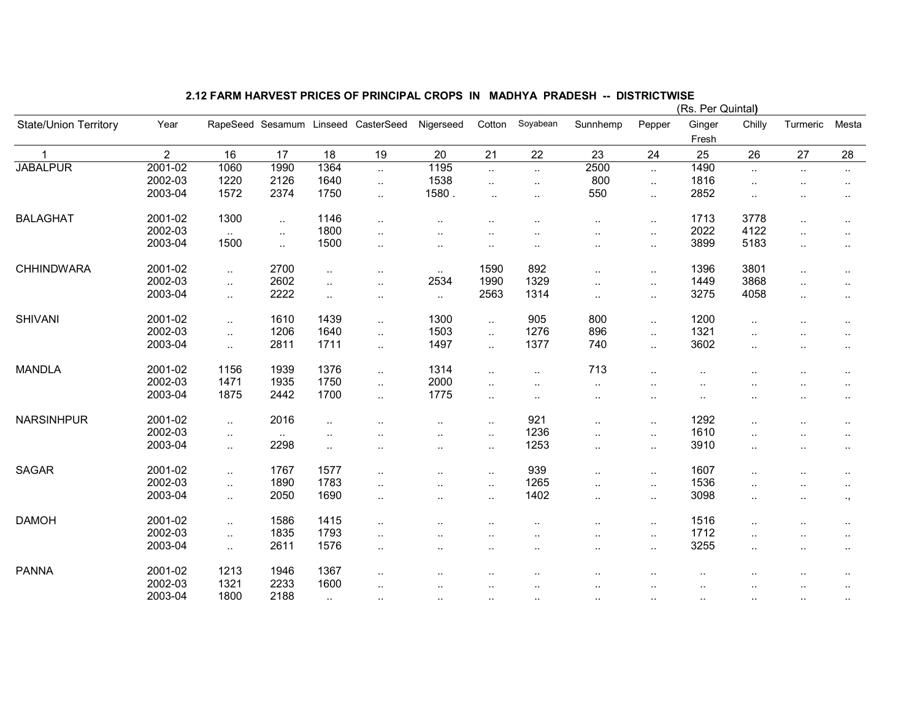|                              |                |                             |                |                      |                                     |           |                      |           |                      |                      | (RS. Per Quintal) |                      |                      |                      |
|------------------------------|----------------|-----------------------------|----------------|----------------------|-------------------------------------|-----------|----------------------|-----------|----------------------|----------------------|-------------------|----------------------|----------------------|----------------------|
| <b>State/Union Territory</b> | Year           |                             |                |                      | RapeSeed Sesamum Linseed CasterSeed | Nigerseed | Cotton               | Soyabean  | Sunnhemp             | Pepper               | Ginger            | Chilly               | Turmeric             | Mesta                |
|                              |                |                             |                |                      |                                     |           |                      |           |                      |                      | Fresh             |                      |                      |                      |
|                              | $\overline{2}$ | 16                          | 17             | 18                   | 19                                  | $20\,$    | 21                   | 22        | 23                   | 24                   | 25                | 26                   | 27                   | 28                   |
| <b>JABALPUR</b>              | 2001-02        | 1060                        | 1990           | 1364                 | $\sim$                              | 1195      | $\ddotsc$            | $\ddotsc$ | 2500                 | $\sim$               | 1490              | $\ddotsc$            | $\sim$               | $\sim$               |
|                              | 2002-03        | 1220                        | 2126           | 1640                 | $\sim$                              | 1538      | $\cdot$ .            | $\cdot$ . | 800                  | $\sim$               | 1816              | $\ddotsc$            |                      | $\cdot$ .            |
|                              | 2003-04        | 1572                        | 2374           | 1750                 | $\sim$                              | 1580.     | $\ddotsc$            | $\ddotsc$ | 550                  | $\ddotsc$            | 2852              | $\ddotsc$            |                      | $\ddotsc$            |
|                              |                |                             |                |                      |                                     |           |                      |           |                      |                      |                   |                      |                      |                      |
| <b>BALAGHAT</b>              | 2001-02        | 1300                        | $\ddotsc$      | 1146                 | $\ddotsc$                           |           |                      |           | ٠.                   | $\sim$               | 1713              | 3778                 | $\ddotsc$            | $\sim$               |
|                              | 2002-03        | $\ddotsc$                   | $\ddotsc$      | 1800                 | $\ddotsc$                           |           | $\ddot{\phantom{a}}$ |           | $\ddot{\phantom{a}}$ | $\ldots$             | 2022              | 4122                 | $\ddotsc$            | $\ddotsc$            |
|                              | 2003-04        | 1500                        | $\mathbf{L}$   | 1500                 | $\ddotsc$                           | $\ddotsc$ | $\sim$               | ٠.        | ٠.                   | $\sim$               | 3899              | 5183                 | $\ddotsc$            | $\sim$               |
| CHHINDWARA                   | 2001-02        | $\ddotsc$                   | 2700           | $\cdot$ .            | $\cdot$ .                           | $\sim$    | 1590                 | 892       |                      | $\sim$               | 1396              | 3801                 | $\ddotsc$            | $\cdot$ .            |
|                              | 2002-03        | $\ddotsc$                   | 2602           | $\ddot{\phantom{a}}$ | $\ddot{\phantom{a}}$                | 2534      | 1990                 | 1329      | $\ddotsc$            | $\ldots$             | 1449              | 3868                 | $\ddotsc$            | $\cdot$ .            |
|                              | 2003-04        | $\ddotsc$                   | 2222           | $\ddotsc$            | $\sim$                              | $\ddotsc$ | 2563                 | 1314      | $\ddotsc$            | $\sim$               | 3275              | 4058                 | $\sim$               | $\ddot{\phantom{a}}$ |
| <b>SHIVANI</b>               | 2001-02        |                             | 1610           | 1439                 |                                     | 1300      |                      | 905       | 800                  |                      | 1200              |                      |                      |                      |
|                              | 2002-03        | $\ddotsc$                   |                |                      | $\ldots$                            | 1503      | $\sim$               |           |                      | $\sim$               | 1321              | $\ddot{\phantom{a}}$ |                      | ٠.                   |
|                              |                | $\ddotsc$                   | 1206           | 1640                 | $\ldots$                            |           | $\ddotsc$            | 1276      | 896                  | $\ddotsc$            |                   | $\ddot{\phantom{a}}$ |                      | $\ddotsc$            |
|                              | 2003-04        | $\ddotsc$                   | 2811           | 1711                 | $\ldots$                            | 1497      | $\ddotsc$            | 1377      | 740                  | $\sim$               | 3602              | $\ddotsc$            |                      | $\cdot$ .            |
| <b>MANDLA</b>                | 2001-02        | 1156                        | 1939           | 1376                 | $\sim$                              | 1314      | $\ddotsc$            | $\sim$    | 713                  | $\ldots$             |                   |                      |                      |                      |
|                              | 2002-03        | 1471                        | 1935           | 1750                 | $\sim$                              | 2000      | $\ddotsc$            | $\cdot$ . | $\ddotsc$            | $\cdot$ .            |                   |                      | $\ddotsc$            | $\cdot$ .            |
|                              | 2003-04        | 1875                        | 2442           | 1700                 | $\sim$                              | 1775      | $\cdot$ .            | $\sim$    | $\sim$               | $\sim$               | $\ddotsc$         | $\cdot$              | $\ddot{\phantom{1}}$ | $\cdot$ .            |
| <b>NARSINHPUR</b>            | 2001-02        |                             | 2016           |                      |                                     |           |                      | 921       |                      |                      | 1292              |                      |                      |                      |
|                              | 2002-03        | $\ddot{\phantom{a}}$        |                | $\ddot{\phantom{a}}$ |                                     | $\ddotsc$ | $\ddotsc$            | 1236      | $\ddot{\phantom{a}}$ | $\cdot$ .            | 1610              | $\ddot{\phantom{a}}$ |                      | ٠.                   |
|                              | 2003-04        | $\sim$                      | $\sim$<br>2298 | $\ddotsc$            | ٠.                                  | ٠.        | $\ddotsc$            | 1253      | $\ddot{\phantom{a}}$ | $\sim$               | 3910              | $\ddot{\phantom{a}}$ | $\ddotsc$            | $\ddotsc$            |
|                              |                | $\ddotsc$                   |                | $\sim$               | $\cdot$ .                           | $\ddotsc$ | $\sim$               |           | $\sim$               | $\sim$               |                   | $\ddotsc$            | $\sim$               | $\ddotsc$            |
| <b>SAGAR</b>                 | 2001-02        | $\ddotsc$                   | 1767           | 1577                 | $\ddotsc$                           | $\ddotsc$ | $\ddotsc$            | 939       | $\ddotsc$            | $\sim$               | 1607              |                      |                      | $\ddotsc$            |
|                              | 2002-03        | $\ddotsc$                   | 1890           | 1783                 | $\ddotsc$                           | $\ddotsc$ | $\sim$               | 1265      | $\ddotsc$            | $\sim$               | 1536              | $\ddot{\phantom{a}}$ |                      | $\ddotsc$            |
|                              | 2003-04        | $\ddotsc$                   | 2050           | 1690                 | $\sim$                              |           | $\sim$               | 1402      | ٠.                   | $\sim$               | 3098              | $\ddotsc$            | $\ddotsc$            | $\cdot$ ,            |
| <b>DAMOH</b>                 | 2001-02        | $\ddot{\phantom{1}}$        | 1586           | 1415                 |                                     |           |                      |           |                      |                      | 1516              |                      |                      |                      |
|                              | 2002-03        |                             | 1835           | 1793                 | $\ddotsc$                           |           | $\ddotsc$            | ٠.        |                      | $\sim$               | 1712              | $\ddotsc$            | $\ddotsc$            | $\ddotsc$            |
|                              | 2003-04        | $\mathcal{L}_{\mathcal{A}}$ | 2611           | 1576                 | $\sim$                              | ٠.        | $\ddotsc$            | ٠.        | $\cdot$ .            | $\cdot$ .            | 3255              | $\ddot{\phantom{a}}$ | $\ddotsc$            | $\ddotsc$            |
|                              |                | $\ddot{\phantom{a}}$        |                |                      | $\ddotsc$                           | $\ddotsc$ | $\sim$               | ٠.        | ٠.                   | $\sim$               |                   | $\ddotsc$            | $\ddot{\phantom{1}}$ | $\cdot$ .            |
| <b>PANNA</b>                 | 2001-02        | 1213                        | 1946           | 1367                 | $\ddotsc$                           |           | $\cdot$ .            |           |                      | $\ddot{\phantom{a}}$ |                   |                      |                      |                      |
|                              | 2002-03        | 1321                        | 2233           | 1600                 | $\cdot$ .                           |           | $\cdot$ .            |           |                      | $\ddot{\phantom{a}}$ |                   |                      |                      | $\sim$               |
|                              | 2003-04        | 1800                        | 2188           | $\sim$               | $\sim$                              | $\sim$    | $\sim$               |           | $\cdot$ .            | $\cdot$ .            | $\cdot$ .         | $\sim$               | $\sim$               |                      |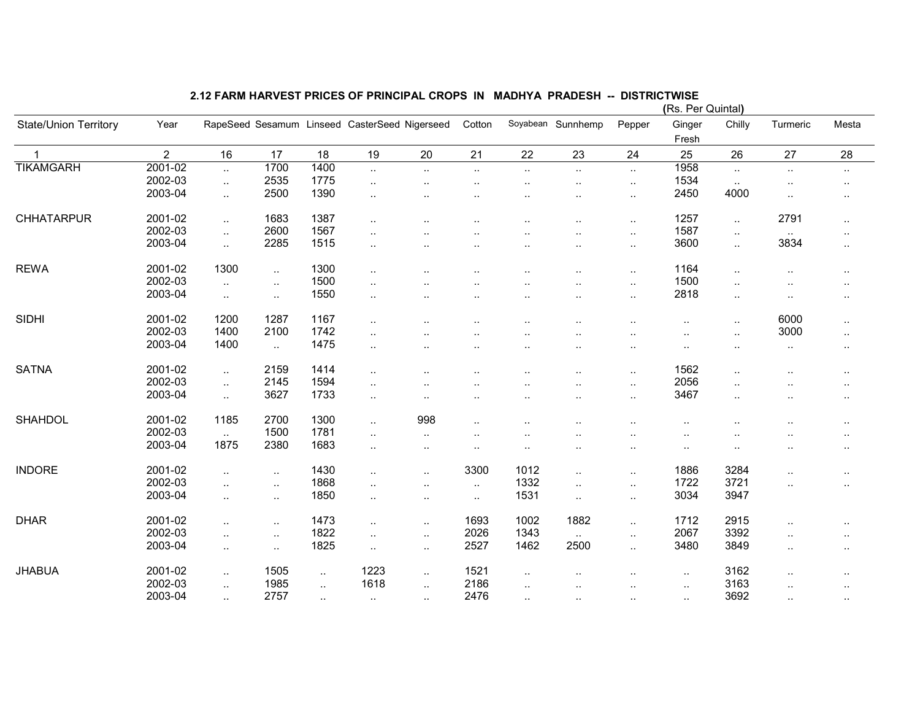|                              |                |                             |           |           |                                               |                      |                      |                      |                      |                      | (RS. Per Quintal)    |                      |                      |                      |
|------------------------------|----------------|-----------------------------|-----------|-----------|-----------------------------------------------|----------------------|----------------------|----------------------|----------------------|----------------------|----------------------|----------------------|----------------------|----------------------|
| <b>State/Union Territory</b> | Year           |                             |           |           | RapeSeed Sesamum Linseed CasterSeed Nigerseed |                      | Cotton               |                      | Soyabean Sunnhemp    | Pepper               | Ginger               | Chilly               | Turmeric             | Mesta                |
|                              |                |                             |           |           |                                               |                      |                      |                      |                      |                      | Fresh                |                      |                      |                      |
|                              | $\overline{2}$ | 16                          | 17        | 18        | 19                                            | 20                   | 21                   | 22                   | 23                   | 24                   | 25                   | 26                   | 27                   | 28                   |
| <b>TIKAMGARH</b>             | 2001-02        | $\ddotsc$                   | 1700      | 1400      | $\ddotsc$                                     | $\ddotsc$            | $\ldots$             | $\ddotsc$            | $\ddotsc$            | $\cdot$ .            | 1958                 | $\ddotsc$            | $\ldots$             | $\sim$               |
|                              | 2002-03        | $\sim$                      | 2535      | 1775      | $\cdot$ .                                     |                      |                      |                      |                      | $\cdot$ .            | 1534                 | $\sim$               |                      | $\sim$               |
|                              | 2003-04        | $\ddotsc$                   | 2500      | 1390      | $\cdot$ .                                     |                      | $\cdot$ .            |                      | . .                  |                      | 2450                 | 4000                 | $\cdot$ .            | ٠.                   |
| <b>CHHATARPUR</b>            | 2001-02        |                             | 1683      | 1387      |                                               |                      |                      |                      |                      |                      | 1257                 |                      | 2791                 |                      |
|                              | 2002-03        | $\mathcal{L}_{\mathcal{A}}$ |           | 1567      | $\ddotsc$                                     |                      |                      |                      |                      |                      |                      | $\ddotsc$            |                      | $\sim$               |
|                              |                | $\ddotsc$                   | 2600      |           | $\ddot{\phantom{a}}$                          |                      |                      |                      |                      |                      | 1587                 | $\ddotsc$            | $\sim$               | $\ddot{\phantom{a}}$ |
|                              | 2003-04        | $\ddotsc$                   | 2285      | 1515      | $\cdot$ .                                     |                      | $\cdot$ .            |                      | $\cdot$ .            | $\cdot$ .            | 3600                 | $\ddotsc$            | 3834                 | $\sim$               |
| <b>REWA</b>                  | 2001-02        | 1300                        | $\ddotsc$ | 1300      | $\ddotsc$                                     |                      | $\cdot$ .            |                      | $\sim$               |                      | 1164                 | $\ddotsc$            | $\ddotsc$            | $\cdot$ .            |
|                              | 2002-03        | $\sim$                      | $\ldots$  | 1500      |                                               |                      |                      |                      | $\ddot{\phantom{a}}$ |                      | 1500                 |                      |                      | ٠.                   |
|                              | 2003-04        | $\ddotsc$                   | $\sim$    | 1550      | $\cdot$ .                                     |                      |                      |                      |                      | $\ddotsc$            | 2818                 | $\sim$               | $\cdot$ .            | $\ddotsc$            |
| <b>SIDHI</b>                 | 2001-02        | 1200                        | 1287      | 1167      | $\ddotsc$                                     |                      | $\cdot$ .            |                      |                      |                      |                      | $\ddotsc$            | 6000                 | $\sim$               |
|                              | 2002-03        | 1400                        | 2100      | 1742      |                                               |                      |                      |                      |                      |                      |                      |                      | 3000                 |                      |
|                              | 2003-04        | 1400                        |           | 1475      | $\cdot$ .                                     |                      |                      |                      |                      |                      |                      | $\ddotsc$            |                      | $\sim$               |
|                              |                |                             | $\sim$    |           | $\ddot{\phantom{a}}$                          |                      | $\ddot{\phantom{a}}$ |                      | . .                  | $\cdot$ .            |                      |                      | $\sim$               | ٠.                   |
| <b>SATNA</b>                 | 2001-02        | $\sim$                      | 2159      | 1414      | $\cdot$ .                                     |                      |                      |                      | . .                  |                      | 1562                 | $\ddot{\phantom{a}}$ |                      | $\ddot{\phantom{a}}$ |
|                              | 2002-03        | $\sim$                      | 2145      | 1594      | $\ddotsc$                                     |                      | $\ddot{\phantom{a}}$ | $\ddot{\phantom{a}}$ | $\ddot{\phantom{a}}$ | $\ddot{\phantom{a}}$ | 2056                 | $\ddotsc$            | $\ddot{\phantom{a}}$ | $\ddotsc$            |
|                              | 2003-04        | $\sim$                      | 3627      | 1733      | $\cdot$ .                                     |                      | $\ddot{\phantom{a}}$ | $\ddot{\phantom{a}}$ | $\cdot$ .            | $\cdot$ .            | 3467                 | $\cdot$ .            | $\cdot$ .            | $\sim$               |
| <b>SHAHDOL</b>               | 2001-02        | 1185                        | 2700      | 1300      | $\ddotsc$                                     | 998                  | $\cdot$              |                      |                      |                      |                      |                      |                      | $\cdot$ .            |
|                              | 2002-03        | $\ddotsc$                   | 1500      | 1781      | $\ddot{\phantom{a}}$                          | ٠.                   |                      |                      | . .                  |                      | $\ddot{\phantom{a}}$ |                      |                      |                      |
|                              | 2003-04        | 1875                        | 2380      | 1683      | $\ddotsc$                                     | $\cdot$ .            | $\cdot$ .            | $\ddot{\phantom{a}}$ | . .                  | $\cdot$ .            | $\ddot{\phantom{a}}$ |                      | $\cdot$ .            | $\sim$               |
|                              |                |                             |           |           |                                               |                      |                      |                      |                      |                      |                      |                      |                      |                      |
| <b>INDORE</b>                | 2001-02        | $\sim$                      | $\sim$    | 1430      | $\ddotsc$                                     |                      | 3300                 | 1012                 | ٠.                   | $\ddotsc$            | 1886                 | 3284                 | $\ddot{\phantom{a}}$ |                      |
|                              | 2002-03        | $\ddotsc$                   | $\sim$    | 1868      | $\ddotsc$                                     | $\ddot{\phantom{a}}$ | $\ldots$             | 1332                 | $\ddotsc$            | $\cdot$ .            | 1722                 | 3721                 | $\cdot$ .            |                      |
|                              | 2003-04        | $\ddotsc$                   | $\ldots$  | 1850      | $\ddotsc$                                     |                      | $\sim$               | 1531                 | $\ddotsc$            | $\cdot$ .            | 3034                 | 3947                 |                      |                      |
| <b>DHAR</b>                  | 2001-02        | $\sim$                      | $\sim$    | 1473      | $\sim$ .                                      |                      | 1693                 | 1002                 | 1882                 |                      | 1712                 | 2915                 | $\ddot{\phantom{a}}$ | $\ddotsc$            |
|                              | 2002-03        | $\ddotsc$                   | $\ddotsc$ | 1822      | $\ddotsc$                                     | $\ddotsc$            | 2026                 | 1343                 | $\ddotsc$            | $\ddotsc$            | 2067                 | 3392                 | $\ddot{\phantom{a}}$ | $\ddot{\phantom{a}}$ |
|                              | 2003-04        | $\ddotsc$                   | $\ddotsc$ | 1825      | $\ldots$                                      | $\ddotsc$            | 2527                 | 1462                 | 2500                 | $\ddotsc$            | 3480                 | 3849                 | $\ldots$             | $\cdot$ .            |
| <b>JHABUA</b>                | 2001-02        |                             | 1505      |           | 1223                                          |                      | 1521                 |                      |                      |                      |                      | 3162                 |                      |                      |
|                              | 2002-03        | $\ddotsc$                   | 1985      | $\ddotsc$ | 1618                                          |                      | 2186                 |                      |                      |                      | $\ldots$             | 3163                 |                      |                      |
|                              | 2003-04        | $\ddotsc$                   | 2757      | $\ddotsc$ |                                               |                      | 2476                 |                      | ٠.                   | $\cdot$ .            | $\ldots$             |                      |                      |                      |
|                              |                | $\sim$                      |           | $\sim$    | $\sim$ $\sim$                                 |                      |                      | $\cdot$ .            | $\sim$               | $\sim$               | $\sim$               | 3692                 | $\sim$               | $\sim$               |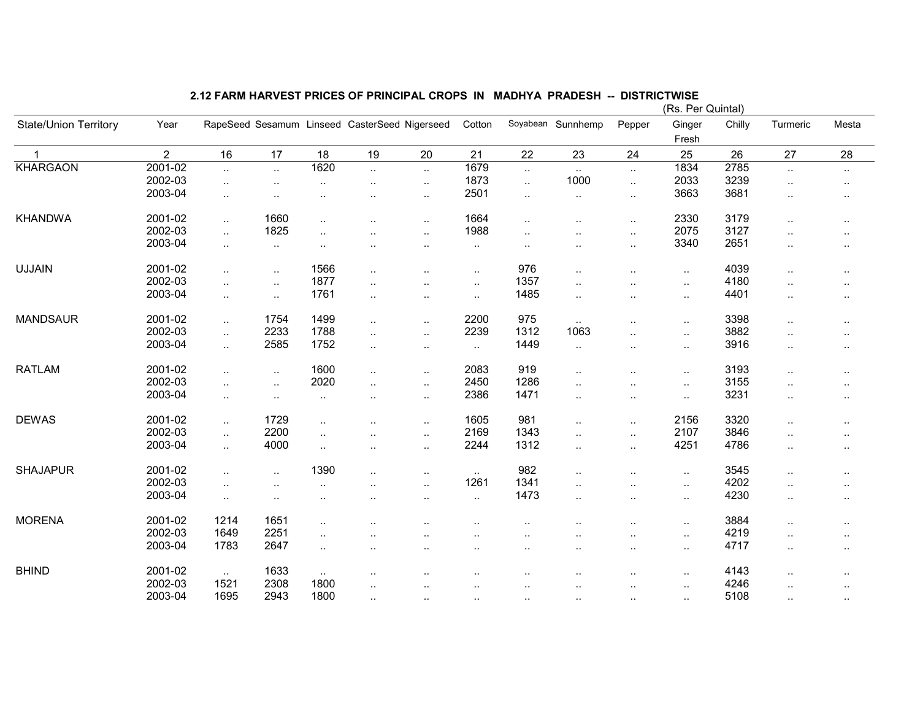|                              |                |                      |                      |                      |                                               |                      |                      |                      |                      |                      | (RS. Per Quintar) |        |                      |                      |
|------------------------------|----------------|----------------------|----------------------|----------------------|-----------------------------------------------|----------------------|----------------------|----------------------|----------------------|----------------------|-------------------|--------|----------------------|----------------------|
| <b>State/Union Territory</b> | Year           |                      |                      |                      | RapeSeed Sesamum Linseed CasterSeed Nigerseed |                      | Cotton               |                      | Soyabean Sunnhemp    | Pepper               | Ginger            | Chilly | Turmeric             | Mesta                |
|                              |                |                      |                      |                      |                                               |                      |                      |                      |                      |                      | Fresh             |        |                      |                      |
| $\mathbf{1}$                 | $\overline{2}$ | 16                   | 17                   | 18                   | 19                                            | 20                   | 21                   | 22                   | 23                   | 24                   | 25                | 26     | 27                   | 28                   |
| <b>KHARGAON</b>              | 2001-02        | $\ddot{\phantom{a}}$ | $\ddotsc$            | 1620                 | $\ddotsc$                                     | $\ddotsc$            | 1679                 | $\ldots$             | $\sim$               | $\cdot$ .            | 1834              | 2785   | $\sim$               | $\sim$               |
|                              | 2002-03        | $\cdot$ .            | $\ddot{\phantom{a}}$ | $\ddotsc$            | $\ddotsc$                                     | $\ddotsc$            | 1873                 | $\ddotsc$            | 1000                 | $\ddotsc$            | 2033              | 3239   | $\ldots$             | $\sim$               |
|                              | 2003-04        | $\cdot$ .            |                      |                      |                                               | $\cdot$ .            | 2501                 | $\ddot{\phantom{a}}$ | $\ddotsc$            | $\ddotsc$            | 3663              | 3681   | $\ddot{\phantom{a}}$ |                      |
| <b>KHANDWA</b>               | 2001-02        |                      | 1660                 |                      |                                               |                      | 1664                 |                      |                      |                      | 2330              | 3179   |                      |                      |
|                              | 2002-03        | $\sim$               | 1825                 | $\cdot$              | $\ddot{\phantom{a}}$                          | $\ddotsc$            | 1988                 | $\cdot$ .            | $\ddot{\phantom{a}}$ |                      | 2075              | 3127   | $\ldots$             | $\sim$               |
|                              |                | $\ddotsc$            |                      | $\ddot{\phantom{a}}$ |                                               | $\ddot{\phantom{a}}$ |                      | $\ddot{\phantom{a}}$ | $\ddot{\phantom{a}}$ | $\ddot{\phantom{a}}$ |                   |        | $\ddot{\phantom{a}}$ | $\ddot{\phantom{a}}$ |
|                              | 2003-04        | $\sim$               | $\sim$               | $\ddot{\phantom{a}}$ |                                               | $\cdot$ .            | $\sim$ $\sim$        |                      |                      | $\ddotsc$            | 3340              | 2651   | $\cdot$ .            | $\ddotsc$            |
| <b>UJJAIN</b>                | 2001-02        | $\ddotsc$            | $\ddotsc$            | 1566                 | $\ddotsc$                                     | $\ddotsc$            | $\sim$               | 976                  | . .                  |                      | $\sim$            | 4039   | $\ldots$             | $\sim$               |
|                              | 2002-03        | $\cdot$ .            | $\ddotsc$            | 1877                 | $\ddot{\phantom{a}}$                          |                      | $\sim$               | 1357                 |                      |                      | $\sim$            | 4180   | $\ddot{\phantom{a}}$ |                      |
|                              | 2003-04        | $\ddotsc$            | $\ddotsc$            | 1761                 | $\ddotsc$                                     | $\cdot$ .            | $\ddotsc$            | 1485                 | $\ddotsc$            | $\cdot$ .            | $\sim$            | 4401   | $\ddotsc$            | $\ddotsc$            |
| <b>MANDSAUR</b>              | 2001-02        |                      | 1754                 | 1499                 |                                               |                      | 2200                 | 975                  |                      |                      |                   | 3398   |                      |                      |
|                              | 2002-03        | $\ddotsc$            | 2233                 | 1788                 | $\ddotsc$                                     | $\cdot$ .            | 2239                 | 1312                 | $\sim$<br>1063       |                      | $\sim$            | 3882   | $\ldots$             | $\sim$               |
|                              |                | $\ddotsc$            |                      |                      | $\ddot{\phantom{a}}$                          | $\ddotsc$            |                      |                      |                      |                      | $\sim$            |        | $\ddotsc$            | $\sim$               |
|                              | 2003-04        | $\ddotsc$            | 2585                 | 1752                 | $\ddotsc$                                     | $\cdot$ .            | $\sim$               | 1449                 | $\ddotsc$            | $\cdot$ .            | $\ddotsc$         | 3916   | $\ddotsc$            | $\ddotsc$            |
| <b>RATLAM</b>                | 2001-02        | $\ddotsc$            | $\ldots$             | 1600                 | $\ddotsc$                                     | $\ddot{\phantom{a}}$ | 2083                 | 919                  | $\ddot{\phantom{a}}$ |                      | $\sim$            | 3193   | $\ddotsc$            | $\sim$               |
|                              | 2002-03        | $\ddotsc$            | $\ddotsc$            | 2020                 | $\ddotsc$                                     | $\ddot{\phantom{a}}$ | 2450                 | 1286                 | $\ddot{\phantom{a}}$ | $\ddot{\phantom{a}}$ | $\ddotsc$         | 3155   | $\ddotsc$            | $\cdot$ .            |
|                              | 2003-04        | $\ddotsc$            | $\cdot$ .            | $\ddotsc$            | $\cdot$ .                                     | $\cdot$ .            | 2386                 | 1471                 |                      | $\ddotsc$            | $\sim$            | 3231   | $\cdot$ .            | $\cdot$ .            |
| <b>DEWAS</b>                 | 2001-02        | $\sim$               | 1729                 |                      |                                               | $\ddot{\phantom{0}}$ | 1605                 | 981                  | ٠.                   |                      | 2156              | 3320   | $\cdot$ .            |                      |
|                              | 2002-03        |                      | 2200                 |                      |                                               |                      | 2169                 | 1343                 |                      |                      | 2107              | 3846   |                      | ٠.                   |
|                              | 2003-04        | $\ldots$             | 4000                 | $\ddotsc$            |                                               | $\ddot{\phantom{0}}$ | 2244                 | 1312                 | $\ddot{\phantom{a}}$ |                      | 4251              | 4786   | $\ddotsc$            | $\ddotsc$            |
|                              |                | $\ddotsc$            |                      | $\ddotsc$            | $\ddotsc$                                     | $\ddotsc$            |                      |                      | Ω.                   | $\ddotsc$            |                   |        | $\ddotsc$            | $\cdot$ .            |
| <b>SHAJAPUR</b>              | 2001-02        | $\ddotsc$            | $\ddot{\phantom{a}}$ | 1390                 | $\ddot{\phantom{a}}$                          | $\cdot$ .            | $\sim$               | 982                  |                      |                      | $\ddotsc$         | 3545   | $\ddotsc$            | $\ddotsc$            |
|                              | 2002-03        | $\cdot$ .            |                      |                      |                                               |                      | 1261                 | 1341                 | $\ddot{\phantom{a}}$ |                      | $\sim$            | 4202   | $\ddot{\phantom{a}}$ |                      |
|                              | 2003-04        | $\ddotsc$            |                      |                      |                                               |                      | $\cdot$ .            | 1473                 | . .                  |                      | $\ddotsc$         | 4230   | $\ddotsc$            | ٠.                   |
| <b>MORENA</b>                | 2001-02        | 1214                 | 1651                 | $\ddot{\phantom{a}}$ |                                               |                      | $\ddot{\phantom{a}}$ | $\ddot{\phantom{a}}$ | $\ddotsc$            | $\cdot$ .            | $\sim$            | 3884   | $\ddotsc$            | $\ddot{\phantom{a}}$ |
|                              | 2002-03        | 1649                 | 2251                 |                      |                                               |                      |                      |                      |                      |                      |                   | 4219   |                      |                      |
|                              | 2003-04        | 1783                 | 2647                 |                      |                                               |                      | $\cdot$ .            | $\ddot{\phantom{a}}$ | . .                  |                      | $\sim$            | 4717   | $\cdot$ .            | $\ddotsc$            |
|                              |                |                      |                      | $\cdot$ .            | $\cdot$ .                                     |                      | $\sim$               |                      | $\cdot$ .            | $\sim$ $\sim$        | $\sim$            |        | $\ldots$             | $\cdot$ .            |
| <b>BHIND</b>                 | 2001-02        | $\sim$               | 1633                 | $\sim$               |                                               |                      |                      |                      |                      |                      | $\sim$            | 4143   | $\cdot$ .            | $\sim$               |
|                              | 2002-03        | 1521                 | 2308                 | 1800                 | $\cdot$ .                                     |                      |                      |                      | $\cdot$ .            |                      | $\sim$            | 4246   | $\cdot$ .            | $\cdot$ .            |
|                              | 2003-04        | 1695                 | 2943                 | 1800                 | $\cdot$ .                                     | $\cdots$             | $\cdots$             | $\cdot$ .            | $\sim$               | $\sim$               | $\sim$            | 5108   | $\sim$               | $\sim$               |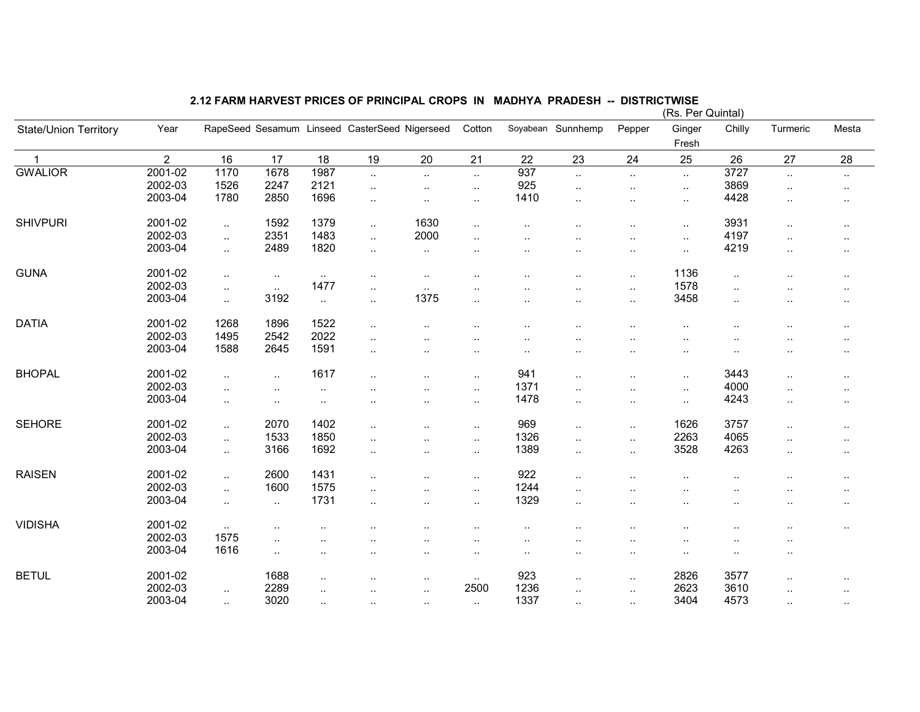|                       |                |                             |                                   |               |                                               |                      |                      |                        |                      |                      | (Rs. Per Quintal)      |                      |                      |           |
|-----------------------|----------------|-----------------------------|-----------------------------------|---------------|-----------------------------------------------|----------------------|----------------------|------------------------|----------------------|----------------------|------------------------|----------------------|----------------------|-----------|
| State/Union Territory | Year           |                             |                                   |               | RapeSeed Sesamum Linseed CasterSeed Nigerseed |                      | Cotton               |                        | Soyabean Sunnhemp    | Pepper               | Ginger                 | Chilly               | Turmeric             | Mesta     |
|                       |                |                             |                                   |               |                                               |                      |                      |                        |                      |                      | Fresh                  |                      |                      |           |
| $\overline{1}$        | $\overline{2}$ | 16                          | 17                                | 18            | 19                                            | 20                   | 21                   | 22                     | 23                   | 24                   | 25                     | 26                   | 27                   | 28        |
| <b>GWALIOR</b>        | 2001-02        | 1170                        | 1678                              | 1987          | $\sim$                                        | $\ddotsc$            | $\ddots$             | 937                    | $\ddot{\phantom{a}}$ | $\ddotsc$            | $\ddot{\phantom{1}}$   | 3727                 | $\ddotsc$            | $\sim$    |
|                       | 2002-03        | 1526                        | 2247                              | 2121          | $\ldots$                                      |                      | $\sim$               | 925                    | $\ddotsc$            | $\cdot$ .            | $\ddotsc$              | 3869                 | $\cdot$ .            | $\sim$    |
|                       | 2003-04        | 1780                        | 2850                              | 1696          | $\cdot$ .                                     | $\ddot{\phantom{a}}$ | $\sim$               | 1410                   | $\ddotsc$            | $\ddot{\phantom{a}}$ | $\sim$                 | 4428                 | $\ddotsc$            | $\cdot$ . |
| <b>SHIVPURI</b>       | 2001-02        | $\sim$                      | 1592                              | 1379          | $\ddotsc$                                     | 1630                 | $\cdot$ .            |                        |                      |                      | $\ddotsc$              | 3931                 | $\cdot$ .            | $\cdot$ . |
|                       | 2002-03        | $\mathcal{L}_{\mathcal{A}}$ | 2351                              | 1483          | $\ddotsc$                                     | 2000                 | $\ddot{\phantom{a}}$ |                        |                      |                      | $\ddotsc$              | 4197                 |                      | . .       |
|                       | 2003-04        | $\sim$                      | 2489                              | 1820          | $\sim$                                        | $\cdot$ .            | $\cdot$ .            |                        | ٠.                   | $\ddot{\phantom{a}}$ | $\ddotsc$              | 4219                 | $\cdot$ .            | $\cdot$ . |
| <b>GUNA</b>           | 2001-02        | $\sim$                      | $\sim$                            | $\sim$        | $\ddotsc$                                     | $\cdot$ .            | $\ddot{\phantom{a}}$ | $\ddot{\phantom{a}}$   | ٠.                   | $\ddot{\phantom{a}}$ | 1136                   | $\ldots$             | $\ddot{\phantom{a}}$ | $\cdot$ . |
|                       | 2002-03        | $\sim$                      | $\sim$                            | 1477          | $\ddotsc$                                     | $\sim$               |                      |                        |                      | $\cdot$ .            | 1578                   | $\ddot{\phantom{a}}$ |                      | $\cdot$ . |
|                       | 2003-04        | $\ddotsc$                   | 3192                              | $\ddotsc$     | $\ddotsc$                                     | 1375                 | $\ldots$             | $\cdot$ .              | $\ldots$             | $\ldots$             | 3458                   | $\ddotsc$            | $\cdot$ .            | $\ddotsc$ |
| <b>DATIA</b>          | 2001-02        | 1268                        | 1896                              | 1522          | $\ddotsc$                                     | $\cdot$ .            | $\ddot{\phantom{a}}$ |                        |                      |                      | $\ddotsc$              |                      |                      | $\cdot$ . |
|                       | 2002-03        | 1495                        | 2542                              | 2022          | $\ddotsc$                                     |                      |                      |                        |                      |                      | $\ddot{\phantom{a}}$   |                      |                      | $\cdot$ . |
|                       | 2003-04        | 1588                        | 2645                              | 1591          | $\ddotsc$                                     | $\cdot$ .            | $\ddot{\phantom{a}}$ | $\ddot{\phantom{a}}$   |                      | $\cdot$ .            | $\ddotsc$              |                      |                      | $\sim$    |
| <b>BHOPAL</b>         | 2001-02        | $\ddotsc$                   | $\ddotsc$                         | 1617          | $\ldots$                                      |                      | $\cdot$ .            | 941                    | ٠.                   | $\ddotsc$            | $\cdot$ .              | 3443                 |                      |           |
|                       | 2002-03        |                             |                                   |               |                                               |                      |                      | 1371                   |                      |                      |                        | 4000                 |                      | $\sim$    |
|                       | 2003-04        | $\cdot$ .                   | $\cdot$ .                         | ٠.            |                                               |                      | $\cdot$ .            | 1478                   | ٠.                   | $\cdot$ .            | $\ddotsc$              | 4243                 |                      | $\sim$    |
|                       |                | $\cdot$ .                   | $\cdot$ .                         | $\sim$        | $\cdot$ .                                     |                      | $\sim$               |                        | $\ddotsc$            | $\ddotsc$            | $\ddotsc$              |                      | $\ddot{\phantom{a}}$ | $\cdot$ . |
| <b>SEHORE</b>         | 2001-02        | $\sim$                      | 2070                              | 1402          | $\cdot$ .                                     |                      | $\sim$               | 969                    | $\cdot$ .            | $\ddotsc$            | 1626                   | 3757                 | $\cdot$ .            | ٠.        |
|                       | 2002-03        | $\ddotsc$                   | 1533                              | 1850          | $\ddotsc$                                     | $\cdot$ .            | $\sim$               | 1326                   | $\ddotsc$            | $\ddotsc$            | 2263                   | 4065                 | $\ddotsc$            | $\ddotsc$ |
|                       | 2003-04        | $\ddotsc$                   | 3166                              | 1692          | $\ddotsc$                                     | $\cdot$ .            | $\sim$               | 1389                   | $\ddotsc$            | $\ddot{\phantom{a}}$ | 3528                   | 4263                 | $\ddotsc$            | $\sim$    |
| <b>RAISEN</b>         | 2001-02        | $\ddotsc$                   | 2600                              | 1431          | $\ddot{\phantom{a}}$                          | $\ddot{\phantom{a}}$ | $\ldots$             | 922                    | $\ddot{\phantom{a}}$ |                      | $\ddot{\phantom{a}}$   |                      | $\ddot{\phantom{a}}$ | $\ddotsc$ |
|                       | 2002-03        | $\mathcal{L}_{\mathcal{A}}$ | 1600                              | 1575          | $\ddotsc$                                     |                      | $\sim$               | 1244                   | $\ddotsc$            |                      | $\ddotsc$              |                      |                      | $\sim$    |
|                       | 2003-04        | $\ddotsc$                   | $\sim$                            | 1731          | $\ddot{\phantom{a}}$                          | $\cdot$ .            | $\cdot$ .            | 1329                   | $\ddotsc$            | $\cdot$ .            | $\cdot$ .              | $\ddot{\phantom{a}}$ |                      | $\cdot$ . |
| <b>VIDISHA</b>        | 2001-02        | $\sim$                      |                                   |               |                                               |                      |                      |                        |                      |                      |                        |                      |                      |           |
|                       | 2002-03        | 1575                        |                                   |               |                                               |                      | $\cdot$ .            | $\ddot{\phantom{1}}$ . |                      |                      |                        |                      |                      | $\cdot$ . |
|                       | 2003-04        | 1616                        | $\ddot{\phantom{a}}$<br>$\ddotsc$ | $\cdot$ .<br> | ٠.                                            | $\cdot$ .            | <br>$\sim$           | $\cdot$ .<br>$\cdot$ . | <br>$\cdot$ .        | <br>$\cdot$ .        | $\ddotsc$<br>$\cdot$ . | $\cdot$ .            | <br>$\cdot$ .        |           |
| <b>BETUL</b>          | 2001-02        |                             | 1688                              |               |                                               |                      |                      | 923                    |                      |                      | 2826                   | 3577                 |                      |           |
|                       | 2002-03        |                             | 2289                              | $\sim$        |                                               | $\sim$               | $\sim$<br>2500       | 1236                   | $\ddotsc$            | $\sim$               | 2623                   | 3610                 | $\ddot{\phantom{a}}$ | $\sim$    |
|                       | 2003-04        | $\ldots$                    | 3020                              | $\ddotsc$     | $\ddotsc$                                     | $\ddot{\phantom{a}}$ |                      | 1337                   | $\ddotsc$            | $\cdot$ .            | 3404                   | 4573                 | $\ddot{\phantom{a}}$ |           |
|                       |                | $\ddotsc$                   |                                   | $\ddotsc$     | $\cdot$ .                                     | $\ddot{\phantom{a}}$ | $\sim$               |                        | $\ddotsc$            | $\ddotsc$            |                        |                      | $\ddotsc$            | $\sim$    |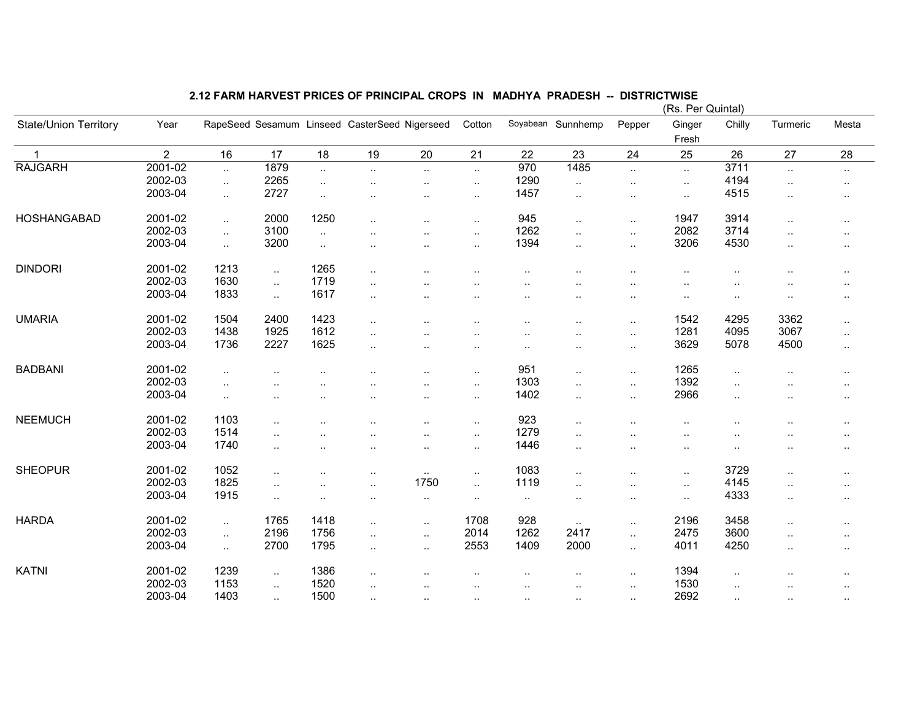|                              |                |           |                      |           |                                               |                      |                      |                      |                      |                      | (RS. Per Quintal)    |                      |                      |                      |
|------------------------------|----------------|-----------|----------------------|-----------|-----------------------------------------------|----------------------|----------------------|----------------------|----------------------|----------------------|----------------------|----------------------|----------------------|----------------------|
| <b>State/Union Territory</b> | Year           |           |                      |           | RapeSeed Sesamum Linseed CasterSeed Nigerseed |                      | Cotton               |                      | Soyabean Sunnhemp    | Pepper               | Ginger               | Chilly               | Turmeric             | Mesta                |
|                              |                |           |                      |           |                                               |                      |                      |                      |                      |                      | Fresh                |                      |                      |                      |
| -1                           | $\overline{2}$ | 16        | 17                   | 18        | 19                                            | 20                   | 21                   | 22                   | 23                   | 24                   | 25                   | 26                   | 27                   | 28                   |
| <b>RAJGARH</b>               | 2001-02        | $\ddotsc$ | 1879                 | $\ddotsc$ | $\ddotsc$                                     | $\ddotsc$            | $\ddotsc$            | 970                  | 1485                 | $\ddotsc$            | $\ddotsc$            | 3711                 | $\ddotsc$            | $\sim$               |
|                              | 2002-03        | $\sim$    | 2265                 | $\ldots$  |                                               |                      | $\sim$               | 1290                 | $\ddotsc$            |                      | $\sim$               | 4194                 | $\cdot$ .            | $\sim$               |
|                              | 2003-04        | $\ddotsc$ | 2727                 | $\ddotsc$ |                                               | $\ddot{\phantom{a}}$ | $\sim$               | 1457                 | $\ddotsc$            | $\cdot$ .            | $\sim$               | 4515                 | $\ddot{\phantom{a}}$ | $\ddot{\phantom{a}}$ |
| HOSHANGABAD                  | 2001-02        | $\ddotsc$ | 2000                 | 1250      | $\ldots$                                      |                      | $\cdot$ .            | 945                  | $\ddotsc$            |                      | 1947                 | 3914                 | $\ldots$             | $\ddotsc$            |
|                              | 2002-03        | $\ddotsc$ | 3100                 | $\ddotsc$ |                                               |                      | $\sim$               | 1262                 | $\ddotsc$            | $\ddot{\phantom{a}}$ | 2082                 | 3714                 | $\ddot{\phantom{a}}$ | ٠.                   |
|                              | 2003-04        | $\sim$    | 3200                 | $\ddotsc$ |                                               | $\cdot$ .            | $\cdot$ .            | 1394                 | $\sim$               | $\ddotsc$            | 3206                 | 4530                 | $\cdot$ .            | $\ddotsc$            |
| <b>DINDORI</b>               | 2001-02        | 1213      | $\ddotsc$            | 1265      | $\cdot$ .                                     |                      | ٠.                   |                      |                      |                      | $\ddot{\phantom{a}}$ |                      | $\cdot$ .            | $\sim$ $\sim$        |
|                              | 2002-03        | 1630      | $\ddotsc$            | 1719      |                                               |                      |                      |                      |                      |                      |                      |                      |                      |                      |
|                              | 2003-04        | 1833      |                      | 1617      |                                               |                      |                      |                      |                      |                      |                      |                      |                      |                      |
|                              |                |           | $\ddotsc$            |           | $\ddotsc$                                     |                      |                      |                      |                      |                      | $\ddotsc$            |                      | $\ddot{\phantom{a}}$ | $\ddotsc$            |
| <b>UMARIA</b>                | 2001-02        | 1504      | 2400                 | 1423      | $\ddotsc$                                     |                      | $\ddot{\phantom{a}}$ | $\ddot{\phantom{a}}$ |                      |                      | 1542                 | 4295                 | 3362                 | $\ldots$             |
|                              | 2002-03        | 1438      | 1925                 | 1612      | $\cdot$ .                                     |                      |                      |                      |                      |                      | 1281                 | 4095                 | 3067                 | $\sim$               |
|                              | 2003-04        | 1736      | 2227                 | 1625      | $\ddotsc$                                     | $\ddot{\phantom{a}}$ | $\cdot$ .            | $\cdot$ .            | . .                  | $\cdot$ .            | 3629                 | 5078                 | 4500                 | $\ldots$             |
|                              |                |           |                      |           |                                               |                      |                      |                      |                      |                      |                      |                      |                      |                      |
| <b>BADBANI</b>               | 2001-02        | $\cdot$ . |                      |           |                                               |                      | $\sim$               | 951                  | $\ddotsc$            | $\cdot$ .            | 1265                 | $\ddotsc$            |                      |                      |
|                              | 2002-03        | $\ddotsc$ |                      |           |                                               |                      | $\ddotsc$            | 1303                 | $\ddotsc$            | $\ddotsc$            | 1392                 | $\ddot{\phantom{a}}$ | $\ddotsc$            | $\ddotsc$            |
|                              | 2003-04        | $\sim$    | $\ddot{\phantom{a}}$ |           | $\ddot{\phantom{a}}$                          | ٠.                   | $\sim$               | 1402                 | $\sim$               | $\cdot$ .            | 2966                 | $\ddot{\phantom{a}}$ | $\cdot$ .            | $\sim$               |
| <b>NEEMUCH</b>               | 2001-02        | 1103      |                      |           |                                               |                      | $\sim$               | 923                  | $\ddot{\phantom{a}}$ |                      |                      |                      |                      | $\cdot$ .            |
|                              | 2002-03        | 1514      |                      |           |                                               |                      | $\sim$               | 1279                 |                      |                      | $\ddot{\phantom{a}}$ |                      |                      |                      |
|                              | 2003-04        | 1740      | $\ddot{\phantom{a}}$ | $\cdot$ . | $\cdot$ .                                     | $\cdot$ .            | $\sim$               | 1446                 | $\ddotsc$            | $\cdot$ .            | $\ddot{\phantom{a}}$ |                      | $\cdot$ .            | $\sim$               |
|                              |                |           |                      |           |                                               |                      |                      |                      |                      |                      |                      |                      |                      |                      |
| <b>SHEOPUR</b>               | 2001-02        | 1052      | $\ddot{\phantom{a}}$ |           | $\ddot{\phantom{a}}$                          | $\sim$               | $\sim$               | 1083                 |                      |                      | $\sim$               | 3729                 | $\cdot$ .            |                      |
|                              | 2002-03        | 1825      | $\cdot$ .            |           | $\ddot{\phantom{a}}$                          | 1750                 | $\ddotsc$            | 1119                 | $\ddot{\phantom{a}}$ |                      | $\ldots$             | 4145                 | $\cdot$ .            |                      |
|                              | 2003-04        | 1915      | $\ddotsc$            |           |                                               |                      | ٠.                   | $\cdot$ .            | $\cdot$ .            |                      | $\ddotsc$            | 4333                 | $\ldots$             | $\ddot{\phantom{1}}$ |
| <b>HARDA</b>                 | 2001-02        |           | 1765                 | 1418      |                                               |                      | 1708                 | 928                  |                      |                      | 2196                 | 3458                 |                      |                      |
|                              | 2002-03        | $\sim$    | 2196                 | 1756      | $\ddotsc$                                     |                      | 2014                 | 1262                 | $\sim$<br>2417       |                      | 2475                 | 3600                 | $\ddotsc$            | $\ddotsc$            |
|                              |                | $\sim$    |                      |           | $\ddotsc$                                     | $\ddotsc$            |                      |                      |                      | $\ddotsc$            |                      |                      | $\ddot{\phantom{a}}$ | $\ddotsc$            |
|                              | 2003-04        | $\ddotsc$ | 2700                 | 1795      | $\ddotsc$                                     | $\ddotsc$            | 2553                 | 1409                 | 2000                 | $\ddotsc$            | 4011                 | 4250                 | $\ldots$             | $\cdot$ .            |
| <b>KATNI</b>                 | 2001-02        | 1239      | $\ddotsc$            | 1386      |                                               |                      |                      |                      |                      | $\cdot$ .            | 1394                 |                      |                      |                      |
|                              | 2002-03        | 1153      | $\ddotsc$            | 1520      |                                               |                      |                      |                      | $\cdot$ .            | $\ddotsc$            | 1530                 |                      |                      | $\ddotsc$            |
|                              | 2003-04        | 1403      | $\sim$               | 1500      | $\sim$                                        |                      | $\sim$               | $\cdot$ .            | $\sim$               |                      | 2692                 | $\sim$               | $\sim$               | $\sim$               |